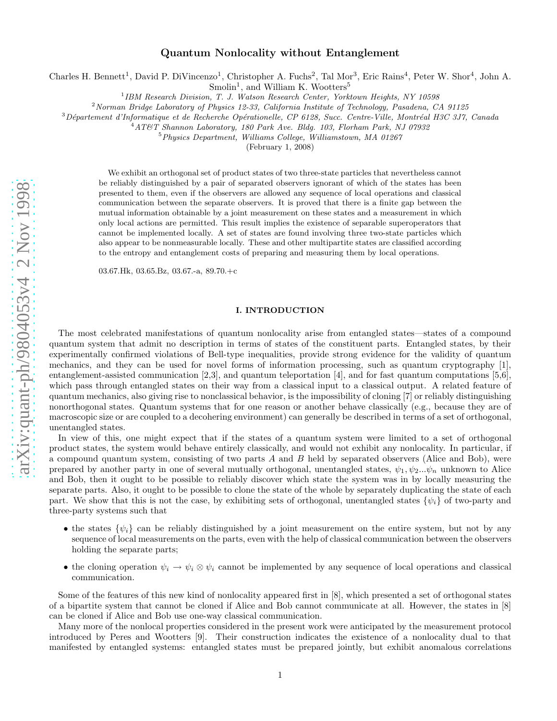# Quantum Nonlocality without Entanglement

Charles H. Bennett<sup>1</sup>, David P. DiVincenzo<sup>1</sup>, Christopher A. Fuchs<sup>2</sup>, Tal Mor<sup>3</sup>, Eric Rains<sup>4</sup>, Peter W. Shor<sup>4</sup>, John A.

Smolin<sup>1</sup>, and William K. Wootters<sup>5</sup>

<sup>1</sup>IBM Research Division, T. J. Watson Research Center, Yorktown Heights, NY 10598

<sup>2</sup> Norman Bridge Laboratory of Physics 12-33, California Institute of Technology, Pasadena, CA 91125

 $3Département d'Information et de Recherche Opérationelle, CP 6128, Succ. Centre-Ville, Montréal H3C 3J7, Canada$ 

<sup>4</sup>AT&T Shannon Laboratory, 180 Park Ave. Bldg. 103, Florham Park, NJ 07932

<sup>5</sup>Physics Department, Williams College, Williamstown, MA 01267

(February 1, 2008)

We exhibit an orthogonal set of product states of two three-state particles that nevertheless cannot be reliably distinguished by a pair of separated observers ignorant of which of the states has been presented to them, even if the observers are allowed any sequence of local operations and classical communication between the separate observers. It is proved that there is a finite gap between the mutual information obtainable by a joint measurement on these states and a measurement in which only local actions are permitted. This result implies the existence of separable superoperators that cannot be implemented locally. A set of states are found involving three two-state particles which also appear to be nonmeasurable locally. These and other multipartite states are classified according to the entropy and entanglement costs of preparing and measuring them by local operations.

03.67.Hk, 03.65.Bz, 03.67.-a, 89.70.+c

## I. INTRODUCTION

The most celebrated manifestations of quantum nonlocality arise from entangled states—states of a compound quantum system that admit no description in terms of states of the constituent parts. Entangled states, by their experimentally confirmed violations of Bell-type inequalities, provide strong evidence for the validity of quantum mechanics, and they can be used for novel forms of information processing, such as quantum cryptography [1], entanglement-assisted communication [2,3], and quantum teleportation [4], and for fast quantum computations [5,6], which pass through entangled states on their way from a classical input to a classical output. A related feature of quantum mechanics, also giving rise to nonclassical behavior, is the impossibility of cloning [7] or reliably distinguishing nonorthogonal states. Quantum systems that for one reason or another behave classically (e.g., because they are of macroscopic size or are coupled to a decohering environment) can generally be described in terms of a set of orthogonal, unentangled states.

In view of this, one might expect that if the states of a quantum system were limited to a set of orthogonal product states, the system would behave entirely classically, and would not exhibit any nonlocality. In particular, if a compound quantum system, consisting of two parts A and B held by separated observers (Alice and Bob), were prepared by another party in one of several mutually orthogonal, unentangled states,  $\psi_1, \psi_2...\psi_n$  unknown to Alice and Bob, then it ought to be possible to reliably discover which state the system was in by locally measuring the separate parts. Also, it ought to be possible to clone the state of the whole by separately duplicating the state of each part. We show that this is not the case, by exhibiting sets of orthogonal, unentangled states  $\{\psi_i\}$  of two-party and three-party systems such that

- the states  $\{\psi_i\}$  can be reliably distinguished by a joint measurement on the entire system, but not by any sequence of local measurements on the parts, even with the help of classical communication between the observers holding the separate parts;
- the cloning operation  $\psi_i \to \psi_i \otimes \psi_i$  cannot be implemented by any sequence of local operations and classical communication.

Some of the features of this new kind of nonlocality appeared first in [8], which presented a set of orthogonal states of a bipartite system that cannot be cloned if Alice and Bob cannot communicate at all. However, the states in [8] can be cloned if Alice and Bob use one-way classical communication.

Many more of the nonlocal properties considered in the present work were anticipated by the measurement protocol introduced by Peres and Wootters [9]. Their construction indicates the existence of a nonlocality dual to that manifested by entangled systems: entangled states must be prepared jointly, but exhibit anomalous correlations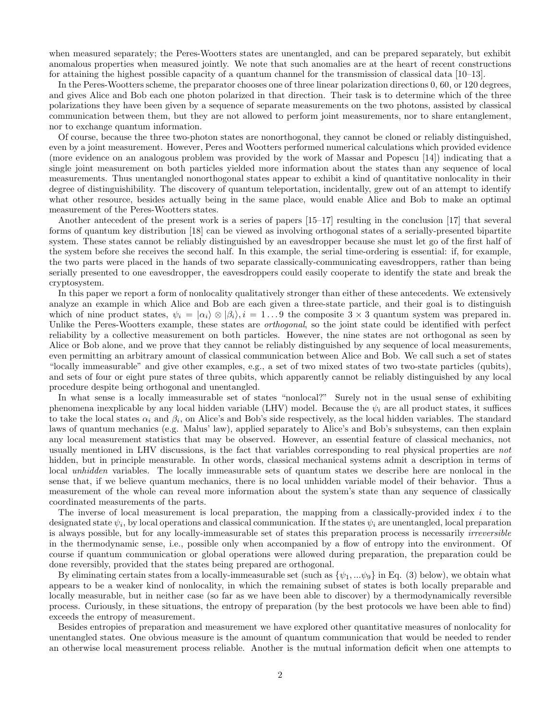when measured separately; the Peres-Wootters states are unentangled, and can be prepared separately, but exhibit anomalous properties when measured jointly. We note that such anomalies are at the heart of recent constructions for attaining the highest possible capacity of a quantum channel for the transmission of classical data [10–13].

In the Peres-Wootters scheme, the preparator chooses one of three linear polarization directions 0, 60, or 120 degrees, and gives Alice and Bob each one photon polarized in that direction. Their task is to determine which of the three polarizations they have been given by a sequence of separate measurements on the two photons, assisted by classical communication between them, but they are not allowed to perform joint measurements, nor to share entanglement, nor to exchange quantum information.

Of course, because the three two-photon states are nonorthogonal, they cannot be cloned or reliably distinguished, even by a joint measurement. However, Peres and Wootters performed numerical calculations which provided evidence (more evidence on an analogous problem was provided by the work of Massar and Popescu [14]) indicating that a single joint measurement on both particles yielded more information about the states than any sequence of local measurements. Thus unentangled nonorthogonal states appear to exhibit a kind of quantitative nonlocality in their degree of distinguishibility. The discovery of quantum teleportation, incidentally, grew out of an attempt to identify what other resource, besides actually being in the same place, would enable Alice and Bob to make an optimal measurement of the Peres-Wootters states.

Another antecedent of the present work is a series of papers [15–17] resulting in the conclusion [17] that several forms of quantum key distribution [18] can be viewed as involving orthogonal states of a serially-presented bipartite system. These states cannot be reliably distinguished by an eavesdropper because she must let go of the first half of the system before she receives the second half. In this example, the serial time-ordering is essential: if, for example, the two parts were placed in the hands of two separate classically-communicating eavesdroppers, rather than being serially presented to one eavesdropper, the eavesdroppers could easily cooperate to identify the state and break the cryptosystem.

In this paper we report a form of nonlocality qualitatively stronger than either of these antecedents. We extensively analyze an example in which Alice and Bob are each given a three-state particle, and their goal is to distinguish which of nine product states,  $\psi_i = |\alpha_i\rangle \otimes |\beta_i\rangle, i = 1...9$  the composite  $3 \times 3$  quantum system was prepared in. Unlike the Peres-Wootters example, these states are *orthogonal*, so the joint state could be identified with perfect reliability by a collective measurement on both particles. However, the nine states are not orthogonal as seen by Alice or Bob alone, and we prove that they cannot be reliably distinguished by any sequence of local measurements, even permitting an arbitrary amount of classical communication between Alice and Bob. We call such a set of states "locally immeasurable" and give other examples, e.g., a set of two mixed states of two two-state particles (qubits), and sets of four or eight pure states of three qubits, which apparently cannot be reliably distinguished by any local procedure despite being orthogonal and unentangled.

In what sense is a locally immeasurable set of states "nonlocal?" Surely not in the usual sense of exhibiting phenomena inexplicable by any local hidden variable (LHV) model. Because the  $\psi_i$  are all product states, it suffices to take the local states  $\alpha_i$  and  $\beta_i$ , on Alice's and Bob's side respectively, as the local hidden variables. The standard laws of quantum mechanics (e.g. Malus' law), applied separately to Alice's and Bob's subsystems, can then explain any local measurement statistics that may be observed. However, an essential feature of classical mechanics, not usually mentioned in LHV discussions, is the fact that variables corresponding to real physical properties are not hidden, but in principle measurable. In other words, classical mechanical systems admit a description in terms of local unhidden variables. The locally immeasurable sets of quantum states we describe here are nonlocal in the sense that, if we believe quantum mechanics, there is no local unhidden variable model of their behavior. Thus a measurement of the whole can reveal more information about the system's state than any sequence of classically coordinated measurements of the parts.

The inverse of local measurement is local preparation, the mapping from a classically-provided index  $i$  to the designated state  $\psi_i$ , by local operations and classical communication. If the states  $\psi_i$  are unentangled, local preparation is always possible, but for any locally-immeasurable set of states this preparation process is necessarily irreversible in the thermodynamic sense, i.e., possible only when accompanied by a flow of entropy into the environment. Of course if quantum communication or global operations were allowed during preparation, the preparation could be done reversibly, provided that the states being prepared are orthogonal.

By eliminating certain states from a locally-immeasurable set (such as  $\{\psi_1, \ldots \psi_9\}$  in Eq. (3) below), we obtain what appears to be a weaker kind of nonlocality, in which the remaining subset of states is both locally preparable and locally measurable, but in neither case (so far as we have been able to discover) by a thermodynamically reversible process. Curiously, in these situations, the entropy of preparation (by the best protocols we have been able to find) exceeds the entropy of measurement.

Besides entropies of preparation and measurement we have explored other quantitative measures of nonlocality for unentangled states. One obvious measure is the amount of quantum communication that would be needed to render an otherwise local measurement process reliable. Another is the mutual information deficit when one attempts to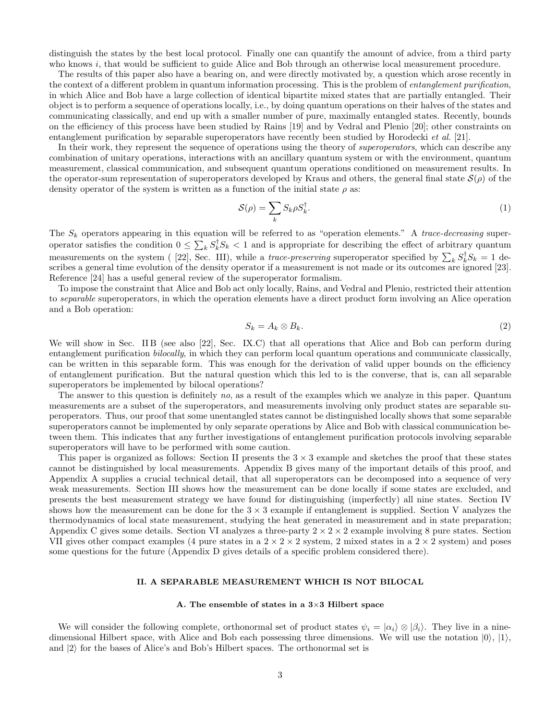distinguish the states by the best local protocol. Finally one can quantify the amount of advice, from a third party who knows i, that would be sufficient to guide Alice and Bob through an otherwise local measurement procedure.

The results of this paper also have a bearing on, and were directly motivated by, a question which arose recently in the context of a different problem in quantum information processing. This is the problem of *entanglement purification*, in which Alice and Bob have a large collection of identical bipartite mixed states that are partially entangled. Their object is to perform a sequence of operations locally, i.e., by doing quantum operations on their halves of the states and communicating classically, and end up with a smaller number of pure, maximally entangled states. Recently, bounds on the efficiency of this process have been studied by Rains [19] and by Vedral and Plenio [20]; other constraints on entanglement purification by separable superoperators have recently been studied by Horodecki et al. [21].

In their work, they represent the sequence of operations using the theory of *superoperators*, which can describe any combination of unitary operations, interactions with an ancillary quantum system or with the environment, quantum measurement, classical communication, and subsequent quantum operations conditioned on measurement results. In the operator-sum representation of superoperators developed by Kraus and others, the general final state  $\mathcal{S}(\rho)$  of the density operator of the system is written as a function of the initial state  $\rho$  as:

$$
S(\rho) = \sum_{k} S_k \rho S_k^{\dagger}.
$$
 (1)

The  $S_k$  operators appearing in this equation will be referred to as "operation elements." A trace-decreasing superoperator satisfies the condition  $0 \le \sum_k S_k^{\dagger} S_k < 1$  and is appropriate for describing the effect of arbitrary quantum measurements on the system ( [22], Sec. III), while a *trace-preserving* superoperator specified by  $\sum_k S_k^{\dagger} S_k = 1$  describes a general time evolution of the density operator if a measurement is not made or its outcomes are ignored [23]. Reference [24] has a useful general review of the superoperator formalism.

To impose the constraint that Alice and Bob act only locally, Rains, and Vedral and Plenio, restricted their attention to separable superoperators, in which the operation elements have a direct product form involving an Alice operation and a Bob operation:

$$
S_k = A_k \otimes B_k. \tag{2}
$$

We will show in Sec. IIB (see also [22], Sec. IX.C) that all operations that Alice and Bob can perform during entanglement purification bilocally, in which they can perform local quantum operations and communicate classically, can be written in this separable form. This was enough for the derivation of valid upper bounds on the efficiency of entanglement purification. But the natural question which this led to is the converse, that is, can all separable superoperators be implemented by bilocal operations?

The answer to this question is definitely no, as a result of the examples which we analyze in this paper. Quantum measurements are a subset of the superoperators, and measurements involving only product states are separable superoperators. Thus, our proof that some unentangled states cannot be distinguished locally shows that some separable superoperators cannot be implemented by only separate operations by Alice and Bob with classical communication between them. This indicates that any further investigations of entanglement purification protocols involving separable superoperators will have to be performed with some caution.

This paper is organized as follows: Section II presents the  $3 \times 3$  example and sketches the proof that these states cannot be distinguished by local measurements. Appendix B gives many of the important details of this proof, and Appendix A supplies a crucial technical detail, that all superoperators can be decomposed into a sequence of very weak measurements. Section III shows how the measurement can be done locally if some states are excluded, and presents the best measurement strategy we have found for distinguishing (imperfectly) all nine states. Section IV shows how the measurement can be done for the  $3 \times 3$  example if entanglement is supplied. Section V analyzes the thermodynamics of local state measurement, studying the heat generated in measurement and in state preparation; Appendix C gives some details. Section VI analyzes a three-party  $2 \times 2 \times 2$  example involving 8 pure states. Section VII gives other compact examples (4 pure states in a  $2 \times 2 \times 2$  system, 2 mixed states in a  $2 \times 2$  system) and poses some questions for the future (Appendix D gives details of a specific problem considered there).

### II. A SEPARABLE MEASUREMENT WHICH IS NOT BILOCAL

#### A. The ensemble of states in a  $3\times3$  Hilbert space

We will consider the following complete, orthonormal set of product states  $\psi_i = |\alpha_i\rangle \otimes |\beta_i\rangle$ . They live in a ninedimensional Hilbert space, with Alice and Bob each possessing three dimensions. We will use the notation  $|0\rangle, |1\rangle,$ and  $|2\rangle$  for the bases of Alice's and Bob's Hilbert spaces. The orthonormal set is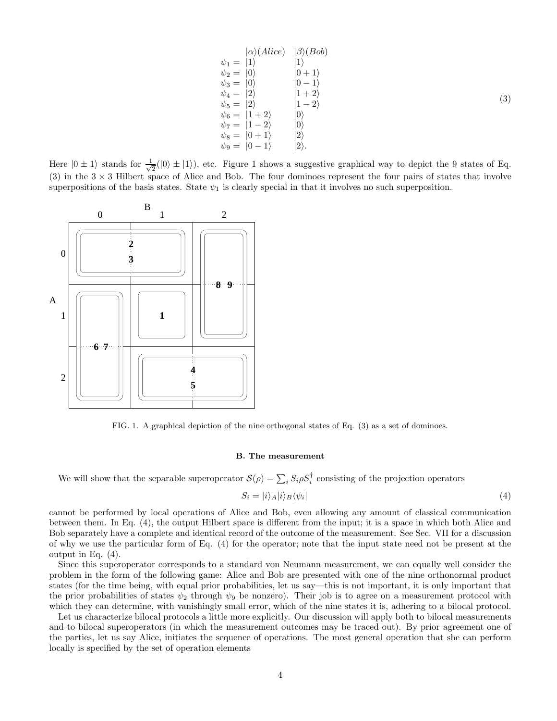$$
\begin{array}{rcl}\n & |\alpha\rangle(Alice) & |\beta\rangle(Bob) \\
\psi_1 & = & |1\rangle & |1\rangle \\
\psi_2 & = & |0\rangle & |0+1\rangle \\
\psi_3 & = & |0\rangle & |0-1\rangle \\
\psi_4 & = & |2\rangle & |1+2\rangle \\
\psi_5 & = & |2\rangle & |1-2\rangle \\
\psi_6 & = & |1+2\rangle & |0\rangle \\
\psi_7 & = & |1-2\rangle & |0\rangle \\
\psi_8 & = & |0+1\rangle & |2\rangle \\
\psi_9 & = & |0-1\rangle & |2\rangle.\n\end{array} \tag{3}
$$

Here  $|0 \pm 1\rangle$  stands for  $\frac{1}{\sqrt{2}}$  $\frac{1}{2}(|0\rangle \pm |1\rangle)$ , etc. Figure 1 shows a suggestive graphical way to depict the 9 states of Eq. (3) in the  $3 \times 3$  Hilbert space of Alice and Bob. The four dominoes represent the four pairs of states that involve superpositions of the basis states. State  $\psi_1$  is clearly special in that it involves no such superposition.



FIG. 1. A graphical depiction of the nine orthogonal states of Eq. (3) as a set of dominoes.

#### B. The measurement

We will show that the separable superoperator  $S(\rho) = \sum_i S_i \rho S_i^{\dagger}$  consisting of the projection operators

$$
S_i = |i\rangle_A |i\rangle_B \langle \psi_i| \tag{4}
$$

cannot be performed by local operations of Alice and Bob, even allowing any amount of classical communication between them. In Eq. (4), the output Hilbert space is different from the input; it is a space in which both Alice and Bob separately have a complete and identical record of the outcome of the measurement. See Sec. VII for a discussion of why we use the particular form of Eq. (4) for the operator; note that the input state need not be present at the output in Eq. (4).

Since this superoperator corresponds to a standard von Neumann measurement, we can equally well consider the problem in the form of the following game: Alice and Bob are presented with one of the nine orthonormal product states (for the time being, with equal prior probabilities, let us say—this is not important, it is only important that the prior probabilities of states  $\psi_2$  through  $\psi_9$  be nonzero). Their job is to agree on a measurement protocol with which they can determine, with vanishingly small error, which of the nine states it is, adhering to a bilocal protocol.

Let us characterize bilocal protocols a little more explicitly. Our discussion will apply both to bilocal measurements and to bilocal superoperators (in which the measurement outcomes may be traced out). By prior agreement one of the parties, let us say Alice, initiates the sequence of operations. The most general operation that she can perform locally is specified by the set of operation elements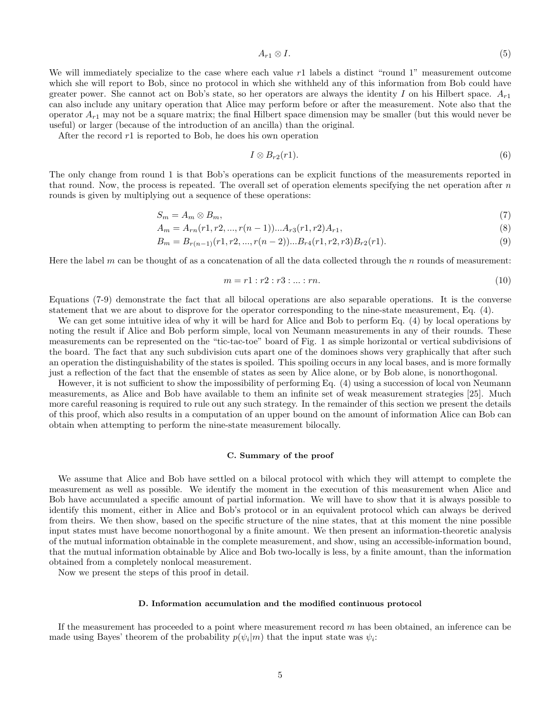$$
A_{r1}\otimes I.\t\t(5)
$$

We will immediately specialize to the case where each value r1 labels a distinct "round 1" measurement outcome which she will report to Bob, since no protocol in which she withheld any of this information from Bob could have greater power. She cannot act on Bob's state, so her operators are always the identity I on his Hilbert space.  $A_{r1}$ can also include any unitary operation that Alice may perform before or after the measurement. Note also that the operator  $A_{r1}$  may not be a square matrix; the final Hilbert space dimension may be smaller (but this would never be useful) or larger (because of the introduction of an ancilla) than the original.

After the record  $r1$  is reported to Bob, he does his own operation

$$
I \otimes B_{r2}(r1). \tag{6}
$$

The only change from round 1 is that Bob's operations can be explicit functions of the measurements reported in that round. Now, the process is repeated. The overall set of operation elements specifying the net operation after  $n$ rounds is given by multiplying out a sequence of these operations:

$$
S_m = A_m \otimes B_m,\tag{7}
$$

$$
A_m = A_{rn}(r1, r2, ..., r(n-1))...A_{r3}(r1, r2)A_{r1},
$$
\n(8)

$$
B_m = B_{r(n-1)}(r1, r2, \dots, r(n-2)) \dots B_{r4}(r1, r2, r3) B_{r2}(r1). \tag{9}
$$

Here the label  $m$  can be thought of as a concatenation of all the data collected through the  $n$  rounds of measurement:

$$
m = r1 : r2 : r3 : \dots : rn. \tag{10}
$$

Equations (7-9) demonstrate the fact that all bilocal operations are also separable operations. It is the converse statement that we are about to disprove for the operator corresponding to the nine-state measurement, Eq. (4).

We can get some intuitive idea of why it will be hard for Alice and Bob to perform Eq. (4) by local operations by noting the result if Alice and Bob perform simple, local von Neumann measurements in any of their rounds. These measurements can be represented on the "tic-tac-toe" board of Fig. 1 as simple horizontal or vertical subdivisions of the board. The fact that any such subdivision cuts apart one of the dominoes shows very graphically that after such an operation the distinguishability of the states is spoiled. This spoiling occurs in any local bases, and is more formally just a reflection of the fact that the ensemble of states as seen by Alice alone, or by Bob alone, is nonorthogonal.

However, it is not sufficient to show the impossibility of performing Eq. (4) using a succession of local von Neumann measurements, as Alice and Bob have available to them an infinite set of weak measurement strategies [25]. Much more careful reasoning is required to rule out any such strategy. In the remainder of this section we present the details of this proof, which also results in a computation of an upper bound on the amount of information Alice can Bob can obtain when attempting to perform the nine-state measurement bilocally.

#### C. Summary of the proof

We assume that Alice and Bob have settled on a bilocal protocol with which they will attempt to complete the measurement as well as possible. We identify the moment in the execution of this measurement when Alice and Bob have accumulated a specific amount of partial information. We will have to show that it is always possible to identify this moment, either in Alice and Bob's protocol or in an equivalent protocol which can always be derived from theirs. We then show, based on the specific structure of the nine states, that at this moment the nine possible input states must have become nonorthogonal by a finite amount. We then present an information-theoretic analysis of the mutual information obtainable in the complete measurement, and show, using an accessible-information bound, that the mutual information obtainable by Alice and Bob two-locally is less, by a finite amount, than the information obtained from a completely nonlocal measurement.

Now we present the steps of this proof in detail.

#### D. Information accumulation and the modified continuous protocol

If the measurement has proceeded to a point where measurement record  $m$  has been obtained, an inference can be made using Bayes' theorem of the probability  $p(\psi_i|m)$  that the input state was  $\psi_i$ :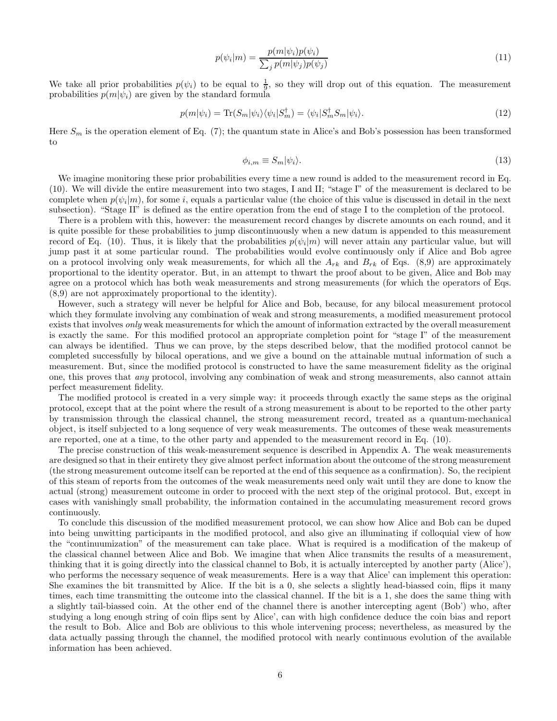$$
p(\psi_i|m) = \frac{p(m|\psi_i)p(\psi_i)}{\sum_j p(m|\psi_j)p(\psi_j)}\tag{11}
$$

We take all prior probabilities  $p(\psi_i)$  to be equal to  $\frac{1}{9}$ , so they will drop out of this equation. The measurement probabilities  $p(m|\psi_i)$  are given by the standard formula

$$
p(m|\psi_i) = \text{Tr}(S_m|\psi_i\rangle\langle\psi_i|S_m^{\dagger}) = \langle\psi_i|S_m^{\dagger}S_m|\psi_i\rangle.
$$
\n(12)

Here  $S_m$  is the operation element of Eq. (7); the quantum state in Alice's and Bob's possession has been transformed to

$$
\phi_{i,m} \equiv S_m |\psi_i\rangle. \tag{13}
$$

We imagine monitoring these prior probabilities every time a new round is added to the measurement record in Eq. (10). We will divide the entire measurement into two stages, I and II; "stage I" of the measurement is declared to be complete when  $p(\psi_i|m)$ , for some i, equals a particular value (the choice of this value is discussed in detail in the next subsection). "Stage II" is defined as the entire operation from the end of stage I to the completion of the protocol.

There is a problem with this, however: the measurement record changes by discrete amounts on each round, and it is quite possible for these probabilities to jump discontinuously when a new datum is appended to this measurement record of Eq. (10). Thus, it is likely that the probabilities  $p(\psi_i|m)$  will never attain any particular value, but will jump past it at some particular round. The probabilities would evolve continuously only if Alice and Bob agree on a protocol involving only weak measurements, for which all the  $A_{rk}$  and  $B_{rk}$  of Eqs. (8,9) are approximately proportional to the identity operator. But, in an attempt to thwart the proof about to be given, Alice and Bob may agree on a protocol which has both weak measurements and strong measurements (for which the operators of Eqs. (8,9) are not approximately proportional to the identity).

However, such a strategy will never be helpful for Alice and Bob, because, for any bilocal measurement protocol which they formulate involving any combination of weak and strong measurements, a modified measurement protocol exists that involves *only* weak measurements for which the amount of information extracted by the overall measurement is exactly the same. For this modified protocol an appropriate completion point for "stage I" of the measurement can always be identified. Thus we can prove, by the steps described below, that the modified protocol cannot be completed successfully by bilocal operations, and we give a bound on the attainable mutual information of such a measurement. But, since the modified protocol is constructed to have the same measurement fidelity as the original one, this proves that any protocol, involving any combination of weak and strong measurements, also cannot attain perfect measurement fidelity.

The modified protocol is created in a very simple way: it proceeds through exactly the same steps as the original protocol, except that at the point where the result of a strong measurement is about to be reported to the other party by transmission through the classical channel, the strong measurement record, treated as a quantum-mechanical object, is itself subjected to a long sequence of very weak measurements. The outcomes of these weak measurements are reported, one at a time, to the other party and appended to the measurement record in Eq. (10).

The precise construction of this weak-measurement sequence is described in Appendix A. The weak measurements are designed so that in their entirety they give almost perfect information about the outcome of the strong measurement (the strong measurement outcome itself can be reported at the end of this sequence as a confirmation). So, the recipient of this steam of reports from the outcomes of the weak measurements need only wait until they are done to know the actual (strong) measurement outcome in order to proceed with the next step of the original protocol. But, except in cases with vanishingly small probability, the information contained in the accumulating measurement record grows continuously.

To conclude this discussion of the modified measurement protocol, we can show how Alice and Bob can be duped into being unwitting participants in the modified protocol, and also give an illuminating if colloquial view of how the "continuumization" of the measurement can take place. What is required is a modification of the makeup of the classical channel between Alice and Bob. We imagine that when Alice transmits the results of a measurement, thinking that it is going directly into the classical channel to Bob, it is actually intercepted by another party (Alice'), who performs the necessary sequence of weak measurements. Here is a way that Alice' can implement this operation: She examines the bit transmitted by Alice. If the bit is a 0, she selects a slightly head-biassed coin, flips it many times, each time transmitting the outcome into the classical channel. If the bit is a 1, she does the same thing with a slightly tail-biassed coin. At the other end of the channel there is another intercepting agent (Bob') who, after studying a long enough string of coin flips sent by Alice', can with high confidence deduce the coin bias and report the result to Bob. Alice and Bob are oblivious to this whole intervening process; nevertheless, as measured by the data actually passing through the channel, the modified protocol with nearly continuous evolution of the available information has been achieved.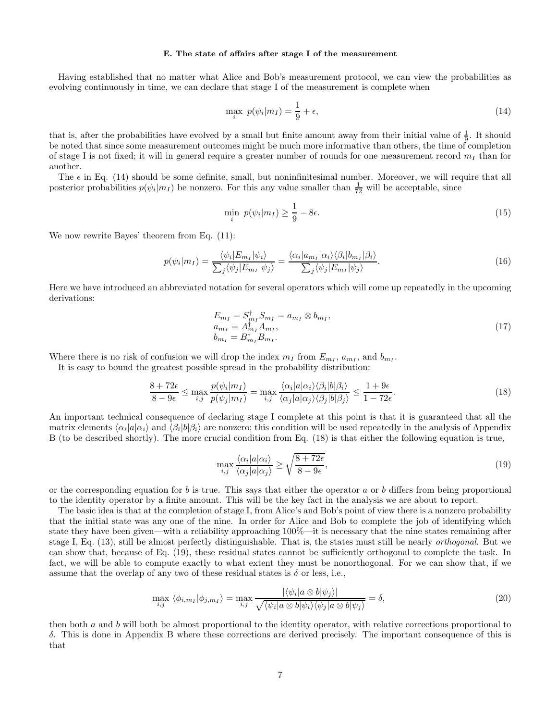#### E. The state of affairs after stage I of the measurement

Having established that no matter what Alice and Bob's measurement protocol, we can view the probabilities as evolving continuously in time, we can declare that stage I of the measurement is complete when

$$
\max_{i} \ p(\psi_i|m_I) = \frac{1}{9} + \epsilon,\tag{14}
$$

that is, after the probabilities have evolved by a small but finite amount away from their initial value of  $\frac{1}{9}$ . It should be noted that since some measurement outcomes might be much more informative than others, the time of completion of stage I is not fixed; it will in general require a greater number of rounds for one measurement record  $m<sub>I</sub>$  than for another.

The  $\epsilon$  in Eq. (14) should be some definite, small, but noninfinitesimal number. Moreover, we will require that all posterior probabilities  $p(\psi_i|m_I)$  be nonzero. For this any value smaller than  $\frac{1}{72}$  will be acceptable, since

$$
\min_{i} \ p(\psi_i|m_I) \ge \frac{1}{9} - 8\epsilon. \tag{15}
$$

We now rewrite Bayes' theorem from Eq. (11):

$$
p(\psi_i|m_I) = \frac{\langle \psi_i | E_{m_I} | \psi_i \rangle}{\sum_j \langle \psi_j | E_{m_I} | \psi_j \rangle} = \frac{\langle \alpha_i | a_{m_I} | \alpha_i \rangle \langle \beta_i | b_{m_I} | \beta_i \rangle}{\sum_j \langle \psi_j | E_{m_I} | \psi_j \rangle}.
$$
(16)

Here we have introduced an abbreviated notation for several operators which will come up repeatedly in the upcoming derivations:

$$
E_{m_I} = S_{m_I}^{\dagger} S_{m_I} = a_{m_I} \otimes b_{m_I},
$$
  
\n
$$
a_{m_I} = A_{m_I}^{\dagger} A_{m_I},
$$
  
\n
$$
b_{m_I} = B_{m_I}^{\dagger} B_{m_I}.
$$
\n(17)

Where there is no risk of confusion we will drop the index  $m_I$  from  $E_{m_I}$ ,  $a_{m_I}$ , and  $b_{m_I}$ .

It is easy to bound the greatest possible spread in the probability distribution:

$$
\frac{8+72\epsilon}{8-9\epsilon} \le \max_{i,j} \frac{p(\psi_i|m_I)}{p(\psi_j|m_I)} = \max_{i,j} \frac{\langle \alpha_i | a|\alpha_i \rangle \langle \beta_i | b|\beta_i \rangle}{\langle \alpha_j | a|\alpha_j \rangle \langle \beta_j | b|\beta_j \rangle} \le \frac{1+9\epsilon}{1-72\epsilon}.
$$
\n(18)

An important technical consequence of declaring stage I complete at this point is that it is guaranteed that all the matrix elements  $\langle \alpha_i | a | \alpha_i \rangle$  and  $\langle \beta_i | b | \beta_i \rangle$  are nonzero; this condition will be used repeatedly in the analysis of Appendix B (to be described shortly). The more crucial condition from Eq. (18) is that either the following equation is true,

$$
\max_{i,j} \frac{\langle \alpha_i | a | \alpha_i \rangle}{\langle \alpha_j | a | \alpha_j \rangle} \ge \sqrt{\frac{8 + 72\epsilon}{8 - 9\epsilon}},\tag{19}
$$

or the corresponding equation for  $b$  is true. This says that either the operator  $a$  or  $b$  differs from being proportional to the identity operator by a finite amount. This will be the key fact in the analysis we are about to report.

The basic idea is that at the completion of stage I, from Alice's and Bob's point of view there is a nonzero probability that the initial state was any one of the nine. In order for Alice and Bob to complete the job of identifying which state they have been given—with a reliability approaching 100%—it is necessary that the nine states remaining after stage I, Eq. (13), still be almost perfectly distinguishable. That is, the states must still be nearly orthogonal. But we can show that, because of Eq. (19), these residual states cannot be sufficiently orthogonal to complete the task. In fact, we will be able to compute exactly to what extent they must be nonorthogonal. For we can show that, if we assume that the overlap of any two of these residual states is  $\delta$  or less, i.e.,

$$
\max_{i,j} \langle \phi_{i,m_I} | \phi_{j,m_I} \rangle = \max_{i,j} \frac{|\langle \psi_i | a \otimes b | \psi_j \rangle|}{\sqrt{\langle \psi_i | a \otimes b | \psi_i \rangle \langle \psi_j | a \otimes b | \psi_j \rangle}} = \delta,
$$
\n(20)

then both  $a$  and  $b$  will both be almost proportional to the identity operator, with relative corrections proportional to δ. This is done in Appendix B where these corrections are derived precisely. The important consequence of this is that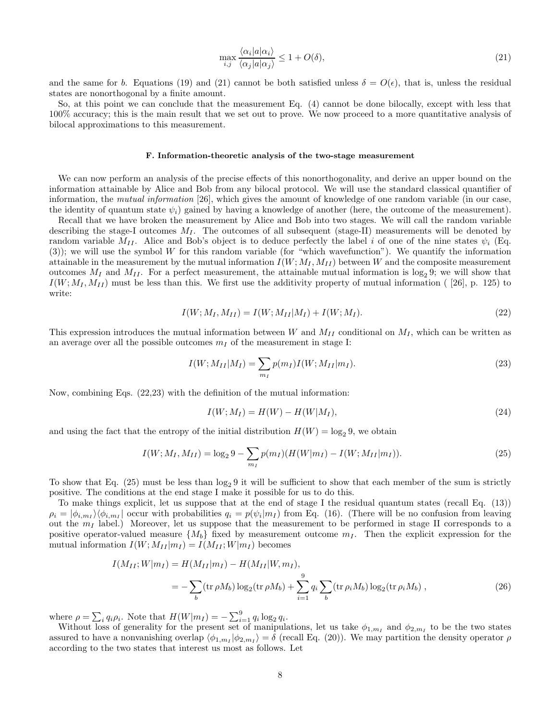$$
\max_{i,j} \frac{\langle \alpha_i | a | \alpha_i \rangle}{\langle \alpha_j | a | \alpha_j \rangle} \le 1 + O(\delta),\tag{21}
$$

and the same for b. Equations (19) and (21) cannot be both satisfied unless  $\delta = O(\epsilon)$ , that is, unless the residual states are nonorthogonal by a finite amount.

So, at this point we can conclude that the measurement Eq. (4) cannot be done bilocally, except with less that 100% accuracy; this is the main result that we set out to prove. We now proceed to a more quantitative analysis of bilocal approximations to this measurement.

#### F. Information-theoretic analysis of the two-stage measurement

We can now perform an analysis of the precise effects of this nonorthogonality, and derive an upper bound on the information attainable by Alice and Bob from any bilocal protocol. We will use the standard classical quantifier of information, the mutual information [26], which gives the amount of knowledge of one random variable (in our case, the identity of quantum state  $\psi_i$ ) gained by having a knowledge of another (here, the outcome of the measurement).

Recall that we have broken the measurement by Alice and Bob into two stages. We will call the random variable describing the stage-I outcomes  $M_I$ . The outcomes of all subsequent (stage-II) measurements will be denoted by random variable  $M_{II}$ . Alice and Bob's object is to deduce perfectly the label i of one of the nine states  $\psi_i$  (Eq. (3)); we will use the symbol W for this random variable (for "which wavefunction"). We quantify the information attainable in the measurement by the mutual information  $I(W; M_I, M_{II})$  between W and the composite measurement outcomes  $M_I$  and  $M_{II}$ . For a perfect measurement, the attainable mutual information is log<sub>2</sub> 9; we will show that  $I(W; M_I, M_{II})$  must be less than this. We first use the additivity property of mutual information ( [26], p. 125) to write:

$$
I(W; M_I, M_{II}) = I(W; M_{II}|M_I) + I(W; M_I).
$$
\n(22)

This expression introduces the mutual information between W and  $M_{II}$  conditional on  $M_I$ , which can be written as an average over all the possible outcomes  $m<sub>I</sub>$  of the measurement in stage I:

$$
I(W; M_{II}|M_I) = \sum_{m_I} p(m_I)I(W; M_{II}|m_I). \tag{23}
$$

Now, combining Eqs. (22,23) with the definition of the mutual information:

$$
I(W; M_I) = H(W) - H(W|M_I),
$$
\n(24)

and using the fact that the entropy of the initial distribution  $H(W) = \log_2 9$ , we obtain

$$
I(W; M_I, M_{II}) = \log_2 9 - \sum_{m_I} p(m_I) (H(W|m_I) - I(W; M_{II}|m_I)).
$$
\n(25)

To show that Eq.  $(25)$  must be less than  $\log_2 9$  it will be sufficient to show that each member of the sum is strictly positive. The conditions at the end stage I make it possible for us to do this.

To make things explicit, let us suppose that at the end of stage I the residual quantum states (recall Eq. (13))  $\rho_i = |\phi_{i,m_I}\rangle \langle \phi_{i,m_I}|$  occur with probabilities  $q_i = p(\psi_i|m_I)$  from Eq. (16). (There will be no confusion from leaving out the  $m_I$  label.) Moreover, let us suppose that the measurement to be performed in stage II corresponds to a positive operator-valued measure  $\{M_b\}$  fixed by measurement outcome  $m_I$ . Then the explicit expression for the mutual information  $I(W; M_{II} | m_I) = I(M_{II}; W | m_I)$  becomes

$$
I(M_{II}; W|m_I) = H(M_{II}|m_I) - H(M_{II}|W, m_I),
$$
  
= 
$$
-\sum_b (\text{tr } \rho M_b) \log_2(\text{tr } \rho M_b) + \sum_{i=1}^9 q_i \sum_b (\text{tr } \rho_i M_b) \log_2(\text{tr } \rho_i M_b) ,
$$
 (26)

where  $\rho = \sum_i q_i \rho_i$ . Note that  $H(W|m_I) = -\sum_{i=1}^9 q_i \log_2 q_i$ .

Without loss of generality for the present set of manipulations, let us take  $\phi_{1,m_1}$  and  $\phi_{2,m_1}$  to be the two states assured to have a nonvanishing overlap  $\langle \phi_{1,m_1} | \phi_{2,m_1} \rangle = \delta$  (recall Eq. (20)). We may partition the density operator  $\rho$ according to the two states that interest us most as follows. Let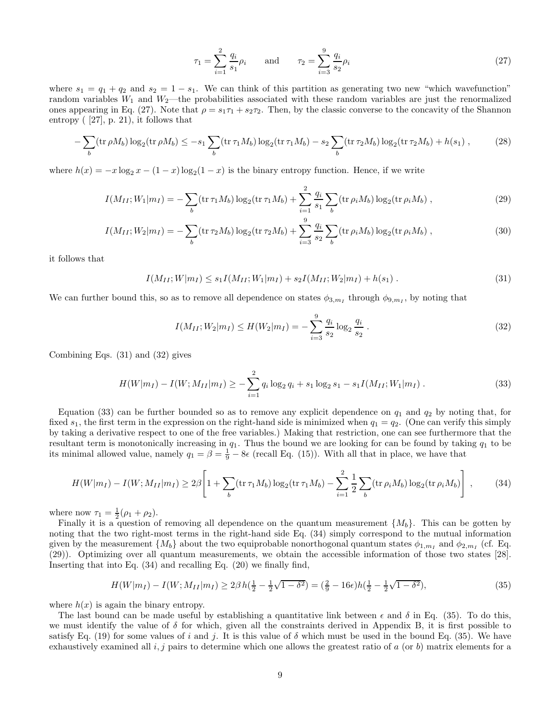$$
\tau_1 = \sum_{i=1}^2 \frac{q_i}{s_1} \rho_i \quad \text{and} \quad \tau_2 = \sum_{i=3}^9 \frac{q_i}{s_2} \rho_i \tag{27}
$$

where  $s_1 = q_1 + q_2$  and  $s_2 = 1 - s_1$ . We can think of this partition as generating two new "which wavefunction" random variables  $W_1$  and  $W_2$ —the probabilities associated with these random variables are just the renormalized ones appearing in Eq. (27). Note that  $\rho = s_1 \tau_1 + s_2 \tau_2$ . Then, by the classic converse to the concavity of the Shannon entropy ( [27], p. 21), it follows that

$$
-\sum_{b} (\text{tr}\,\rho M_b) \log_2(\text{tr}\,\rho M_b) \le -s_1 \sum_{b} (\text{tr}\,\tau_1 M_b) \log_2(\text{tr}\,\tau_1 M_b) - s_2 \sum_{b} (\text{tr}\,\tau_2 M_b) \log_2(\text{tr}\,\tau_2 M_b) + h(s_1) \,,\tag{28}
$$

where  $h(x) = -x \log_2 x - (1 - x) \log_2(1 - x)$  is the binary entropy function. Hence, if we write

$$
I(M_{II}; W_1|m_I) = -\sum_b (\text{tr } \tau_1 M_b) \log_2(\text{tr } \tau_1 M_b) + \sum_{i=1}^2 \frac{q_i}{s_1} \sum_b (\text{tr } \rho_i M_b) \log_2(\text{tr } \rho_i M_b) , \qquad (29)
$$

$$
I(M_{II}; W_2|m_I) = -\sum_b (\text{tr}\,\tau_2 M_b) \log_2(\text{tr}\,\tau_2 M_b) + \sum_{i=3}^9 \frac{q_i}{s_2} \sum_b (\text{tr}\,\rho_i M_b) \log_2(\text{tr}\,\rho_i M_b) ,\tag{30}
$$

it follows that

$$
I(M_{II}; W|m_I) \le s_1 I(M_{II}; W_1|m_I) + s_2 I(M_{II}; W_2|m_I) + h(s_1) \tag{31}
$$

We can further bound this, so as to remove all dependence on states  $\phi_{3,m_I}$  through  $\phi_{9,m_I}$ , by noting that

$$
I(M_{II}; W_2|m_I) \le H(W_2|m_I) = -\sum_{i=3}^{9} \frac{q_i}{s_2} \log_2 \frac{q_i}{s_2} . \tag{32}
$$

Combining Eqs. (31) and (32) gives

$$
H(W|m_I) - I(W; M_{II}|m_I) \ge -\sum_{i=1}^{2} q_i \log_2 q_i + s_1 \log_2 s_1 - s_1 I(M_{II}; W_1|m_I) \,. \tag{33}
$$

Equation (33) can be further bounded so as to remove any explicit dependence on  $q_1$  and  $q_2$  by noting that, for fixed  $s_1$ , the first term in the expression on the right-hand side is minimized when  $q_1 = q_2$ . (One can verify this simply by taking a derivative respect to one of the free variables.) Making that restriction, one can see furthermore that the resultant term is monotonically increasing in  $q_1$ . Thus the bound we are looking for can be found by taking  $q_1$  to be its minimal allowed value, namely  $q_1 = \beta = \frac{1}{9} - 8\epsilon$  (recall Eq. (15)). With all that in place, we have that

$$
H(W|m_I) - I(W; M_{II}|m_I) \ge 2\beta \left[ 1 + \sum_b (\text{tr } \tau_1 M_b) \log_2(\text{tr } \tau_1 M_b) - \sum_{i=1}^2 \frac{1}{2} \sum_b (\text{tr } \rho_i M_b) \log_2(\text{tr } \rho_i M_b) \right],
$$
 (34)

where now  $\tau_1 = \frac{1}{2}(\rho_1 + \rho_2)$ .

Finally it is a question of removing all dependence on the quantum measurement  $\{M_b\}$ . This can be gotten by noting that the two right-most terms in the right-hand side Eq. (34) simply correspond to the mutual information given by the measurement  $\{M_b\}$  about the two equiprobable nonorthogonal quantum states  $\phi_{1,m_I}$  and  $\phi_{2,m_I}$  (cf. Eq. (29)). Optimizing over all quantum measurements, we obtain the accessible information of those two states [28]. Inserting that into Eq. (34) and recalling Eq. (20) we finally find,

$$
H(W|m_I) - I(W; M_{II}|m_I) \ge 2\beta h(\frac{1}{2} - \frac{1}{2}\sqrt{1 - \delta^2}) = (\frac{2}{9} - 16\epsilon)h(\frac{1}{2} - \frac{1}{2}\sqrt{1 - \delta^2}),
$$
\n(35)

where  $h(x)$  is again the binary entropy.

The last bound can be made useful by establishing a quantitative link between  $\epsilon$  and  $\delta$  in Eq. (35). To do this, we must identify the value of  $\delta$  for which, given all the constraints derived in Appendix B, it is first possible to satisfy Eq. (19) for some values of i and j. It is this value of  $\delta$  which must be used in the bound Eq. (35). We have exhaustively examined all  $i, j$  pairs to determine which one allows the greatest ratio of a (or b) matrix elements for a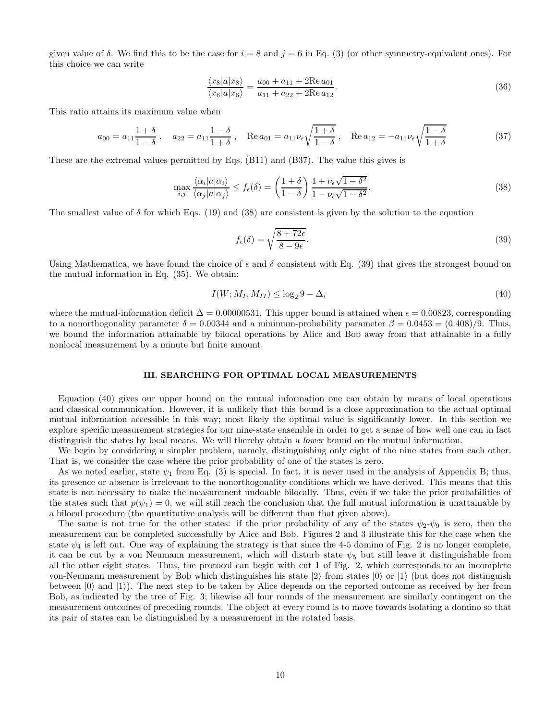given value of  $\delta$ . We find this to be the case for  $i = 8$  and  $j = 6$  in Eq. (3) (or other symmetry-equivalent ones). For this choice we can write

$$
\frac{\langle x_8 | a | x_8 \rangle}{\langle x_6 | a | x_6 \rangle} = \frac{a_{00} + a_{11} + 2 \text{Re} \, a_{01}}{a_{11} + a_{22} + 2 \text{Re} \, a_{12}}.
$$
\n(36)

This ratio attains its maximum value when

$$
a_{00} = a_{11} \frac{1+\delta}{1-\delta} , \quad a_{22} = a_{11} \frac{1-\delta}{1+\delta} , \quad \text{Re}\,a_{01} = a_{11} \nu_{\epsilon} \sqrt{\frac{1+\delta}{1-\delta}} , \quad \text{Re}\,a_{12} = -a_{11} \nu_{\epsilon} \sqrt{\frac{1-\delta}{1+\delta}} \tag{37}
$$

These are the extremal values permitted by Eqs. (B11) and (B37). The value this gives is

$$
\max_{i,j} \frac{\langle \alpha_i | a | \alpha_i \rangle}{\langle \alpha_j | a | \alpha_j \rangle} \le f_\epsilon(\delta) = \left(\frac{1+\delta}{1-\delta}\right) \frac{1+\nu_\epsilon \sqrt{1-\delta^2}}{1-\nu_\epsilon \sqrt{1-\delta^2}}.\tag{38}
$$

The smallest value of  $\delta$  for which Eqs. (19) and (38) are consistent is given by the solution to the equation

$$
f_{\epsilon}(\delta) = \sqrt{\frac{8 + 72\epsilon}{8 - 9\epsilon}}.\tag{39}
$$

Using Mathematica, we have found the choice of  $\epsilon$  and  $\delta$  consistent with Eq. (39) that gives the strongest bound on the mutual information in Eq. (35). We obtain:

$$
I(W; M_I, M_{II}) \le \log_2 9 - \Delta,\tag{40}
$$

where the mutual-information deficit  $\Delta = 0.00000531$ . This upper bound is attained when  $\epsilon = 0.00823$ , corresponding to a nonorthogonality parameter  $\delta = 0.00344$  and a minimum-probability parameter  $\beta = 0.0453 = (0.408)/9$ . Thus, we bound the information attainable by bilocal operations by Alice and Bob away from that attainable in a fully nonlocal measurement by a minute but finite amount.

### III. SEARCHING FOR OPTIMAL LOCAL MEASUREMENTS

Equation (40) gives our upper bound on the mutual information one can obtain by means of local operations and classical communication. However, it is unlikely that this bound is a close approximation to the actual optimal mutual information accessible in this way; most likely the optimal value is significantly lower. In this section we explore specific measurement strategies for our nine-state ensemble in order to get a sense of how well one can in fact distinguish the states by local means. We will thereby obtain a *lower* bound on the mutual information.

We begin by considering a simpler problem, namely, distinguishing only eight of the nine states from each other. That is, we consider the case where the prior probability of one of the states is zero.

As we noted earlier, state  $\psi_1$  from Eq. (3) is special. In fact, it is never used in the analysis of Appendix B; thus, its presence or absence is irrelevant to the nonorthogonality conditions which we have derived. This means that this state is not necessary to make the measurement undoable bilocally. Thus, even if we take the prior probabilities of the states such that  $p(\psi_1) = 0$ , we will still reach the conclusion that the full mutual information is unattainable by a bilocal procedure (the quantitative analysis will be different than that given above).

The same is not true for the other states: if the prior probability of any of the states  $\psi_2$ - $\psi_9$  is zero, then the measurement can be completed successfully by Alice and Bob. Figures 2 and 3 illustrate this for the case when the state  $\psi_4$  is left out. One way of explaining the strategy is that since the 4-5 domino of Fig. 2 is no longer complete, it can be cut by a von Neumann measurement, which will disturb state  $\psi_5$  but still leave it distinguishable from all the other eight states. Thus, the protocol can begin with cut 1 of Fig. 2, which corresponds to an incomplete von-Neumann measurement by Bob which distinguishes his state  $|2\rangle$  from states  $|0\rangle$  or  $|1\rangle$  (but does not distinguish between  $|0\rangle$  and  $|1\rangle$ ). The next step to be taken by Alice depends on the reported outcome as received by her from Bob, as indicated by the tree of Fig. 3; likewise all four rounds of the measurement are similarly contingent on the measurement outcomes of preceding rounds. The object at every round is to move towards isolating a domino so that its pair of states can be distinguished by a measurement in the rotated basis.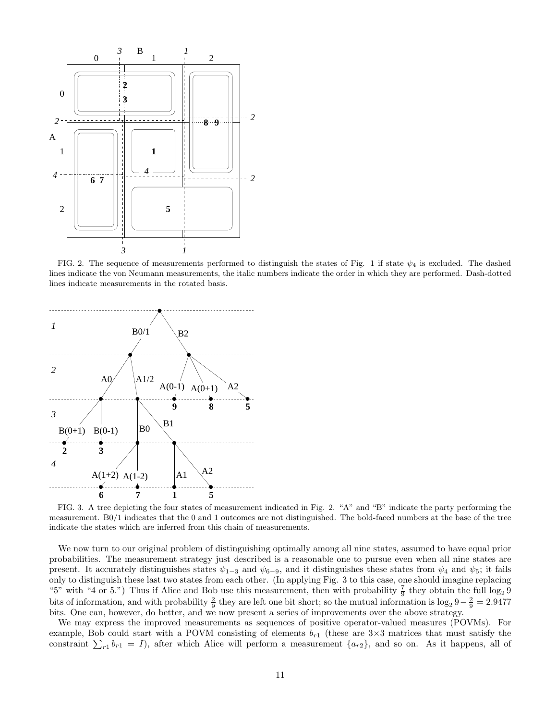

FIG. 2. The sequence of measurements performed to distinguish the states of Fig. 1 if state  $\psi_4$  is excluded. The dashed lines indicate the von Neumann measurements, the italic numbers indicate the order in which they are performed. Dash-dotted lines indicate measurements in the rotated basis.



FIG. 3. A tree depicting the four states of measurement indicated in Fig. 2. "A" and "B" indicate the party performing the measurement. B0/1 indicates that the 0 and 1 outcomes are not distinguished. The bold-faced numbers at the base of the tree indicate the states which are inferred from this chain of measurements.

We now turn to our original problem of distinguishing optimally among all nine states, assumed to have equal prior probabilities. The measurement strategy just described is a reasonable one to pursue even when all nine states are present. It accurately distinguishes states  $\psi_{1-3}$  and  $\psi_{6-9}$ , and it distinguishes these states from  $\psi_4$  and  $\psi_5$ ; it fails only to distinguish these last two states from each other. (In applying Fig. 3 to this case, one should imagine replacing "5" with "4 or 5.") Thus if Alice and Bob use this measurement, then with probability  $\frac{7}{9}$  they obtain the full log<sub>2</sub> 9 bits of information, and with probability  $\frac{2}{9}$  they are left one bit short; so the mutual information is  $\log_2 9 - \frac{2}{9} = 2.9477$ bits. One can, however, do better, and we now present a series of improvements over the above strategy.

We may express the improved measurements as sequences of positive operator-valued measures (POVMs). For example, Bob could start with a POVM consisting of elements  $b_{r1}$  (these are  $3\times3$  matrices that must satisfy the constraint  $\sum_{r} b_{r1} = I$ , after which Alice will perform a measurement  $\{a_{r2}\}\$ , and so on. As it happens, all of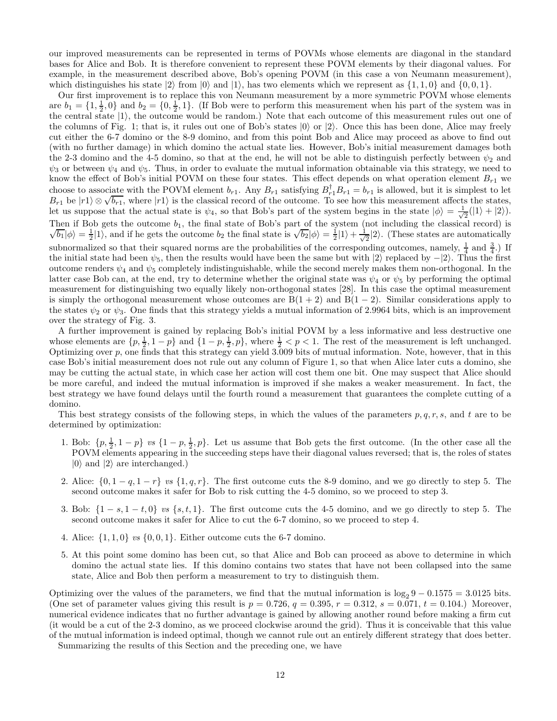our improved measurements can be represented in terms of POVMs whose elements are diagonal in the standard bases for Alice and Bob. It is therefore convenient to represent these POVM elements by their diagonal values. For example, in the measurement described above, Bob's opening POVM (in this case a von Neumann measurement), which distinguishes his state  $|2\rangle$  from  $|0\rangle$  and  $|1\rangle$ , has two elements which we represent as  $\{1, 1, 0\}$  and  $\{0, 0, 1\}$ .

Our first improvement is to replace this von Neumann measurement by a more symmetric POVM whose elements are  $b_1 = \{1, \frac{1}{2}, 0\}$  and  $b_2 = \{0, \frac{1}{2}, 1\}$ . (If Bob were to perform this measurement when his part of the system was in the central state  $|1\rangle$ , the outcome would be random.) Note that each outcome of this measurement rules out one of the columns of Fig. 1; that is, it rules out one of Bob's states  $|0\rangle$  or  $|2\rangle$ . Once this has been done, Alice may freely cut either the 6-7 domino or the 8-9 domino, and from this point Bob and Alice may proceed as above to find out (with no further damage) in which domino the actual state lies. However, Bob's initial measurement damages both the 2-3 domino and the 4-5 domino, so that at the end, he will not be able to distinguish perfectly between  $\psi_2$  and  $\psi_3$  or between  $\psi_4$  and  $\psi_5$ . Thus, in order to evaluate the mutual information obtainable via this strategy, we need to know the effect of Bob's initial POVM on these four states. This effect depends on what operation element  $B_{r1}$  we choose to associate with the POVM element  $b_{r1}$ . Any  $B_{r1}$  satisfying  $B_{r1}^{\dagger}B_{r1} = b_{r1}$  is allowed, but it is simplest to let  $B_r$ <sub>1</sub> be  $|r1\rangle \otimes \sqrt{b_{r1}}$ , where  $|r1\rangle$  is the classical record of the outcome. To see how this measurement affects the states, let us suppose that the actual state is  $\psi_4$ , so that Bob's part of the system begins in the state  $|\phi\rangle = \frac{1}{\sqrt{2\pi}}$  $\frac{1}{2}(|1\rangle + |2\rangle).$ Then if Bob gets the outcome  $b_1$ , the final state of Bob's part of the system (not including the classical record) is<br>  $\sqrt{b_1}$  $\sqrt{b_1}$   $\sqrt{b_1}$  and if he gets the outcome  $b_2$  the final state is  $\sqrt{b_2}$  $\sqrt{b_1}$   $\overline{b_1}|\phi\rangle = \frac{1}{2}|1\rangle$ , and if he gets the outcome  $b_2$  the final state is  $\sqrt{b_2}|\phi\rangle = \frac{1}{2}|1\rangle + \frac{1}{\sqrt{2}}|0\rangle$  $\frac{1}{2}|2\rangle$ . (These states are automatically subnormalized so that their squared norms are the probabilities of the corresponding outcomes, namely,  $\frac{1}{4}$  and  $\frac{3}{4}$ .) If the initial state had been  $\psi_5$ , then the results would have been the same but with  $|2\rangle$  replaced by  $-|2\rangle$ . Thus the first outcome renders  $\psi_4$  and  $\psi_5$  completely indistinguishable, while the second merely makes them non-orthogonal. In the latter case Bob can, at the end, try to determine whether the original state was  $\psi_4$  or  $\psi_5$  by performing the optimal measurement for distinguishing two equally likely non-orthogonal states [28]. In this case the optimal measurement is simply the orthogonal measurement whose outcomes are  $B(1 + 2)$  and  $B(1 - 2)$ . Similar considerations apply to the states  $\psi_2$  or  $\psi_3$ . One finds that this strategy yields a mutual information of 2.9964 bits, which is an improvement over the strategy of Fig. 3.

A further improvement is gained by replacing Bob's initial POVM by a less informative and less destructive one whose elements are  $\{p, \frac{1}{2}, 1-p\}$  and  $\{1-p, \frac{1}{2}, p\}$ , where  $\frac{1}{2} < p < 1$ . The rest of the measurement is left unchanged. Optimizing over  $p$ , one finds that this strategy can yield 3.009 bits of mutual information. Note, however, that in this case Bob's initial measurement does not rule out any column of Figure 1, so that when Alice later cuts a domino, she may be cutting the actual state, in which case her action will cost them one bit. One may suspect that Alice should be more careful, and indeed the mutual information is improved if she makes a weaker measurement. In fact, the best strategy we have found delays until the fourth round a measurement that guarantees the complete cutting of a domino.

This best strategy consists of the following steps, in which the values of the parameters  $p, q, r, s$ , and t are to be determined by optimization:

- 1. Bob:  $\{p, \frac{1}{2}, 1-p\}$  vs  $\{1-p, \frac{1}{2}, p\}$ . Let us assume that Bob gets the first outcome. (In the other case all the POVM elements appearing in the succeeding steps have their diagonal values reversed; that is, the roles of states  $|0\rangle$  and  $|2\rangle$  are interchanged.)
- 2. Alice:  $\{0, 1 q, 1 r\}$  vs  $\{1, q, r\}$ . The first outcome cuts the 8-9 domino, and we go directly to step 5. The second outcome makes it safer for Bob to risk cutting the 4-5 domino, so we proceed to step 3.
- 3. Bob:  $\{1-s, 1-t, 0\}$  vs  $\{s, t, 1\}$ . The first outcome cuts the 4-5 domino, and we go directly to step 5. The second outcome makes it safer for Alice to cut the 6-7 domino, so we proceed to step 4.
- 4. Alice:  $\{1, 1, 0\}$  vs  $\{0, 0, 1\}$ . Either outcome cuts the 6-7 domino.
- 5. At this point some domino has been cut, so that Alice and Bob can proceed as above to determine in which domino the actual state lies. If this domino contains two states that have not been collapsed into the same state, Alice and Bob then perform a measurement to try to distinguish them.

Optimizing over the values of the parameters, we find that the mutual information is  $\log_2 9 - 0.1575 = 3.0125$  bits. (One set of parameter values giving this result is  $p = 0.726$ ,  $q = 0.395$ ,  $r = 0.312$ ,  $s = 0.071$ ,  $t = 0.104$ .) Moreover, numerical evidence indicates that no further advantage is gained by allowing another round before making a firm cut (it would be a cut of the 2-3 domino, as we proceed clockwise around the grid). Thus it is conceivable that this value of the mutual information is indeed optimal, though we cannot rule out an entirely different strategy that does better.

Summarizing the results of this Section and the preceding one, we have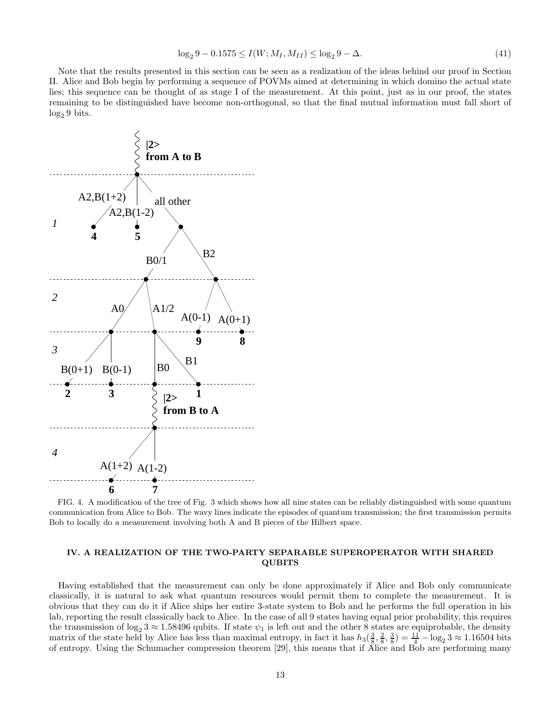$$
\log_2 9 - 0.1575 \le I(W; M_I, M_{II}) \le \log_2 9 - \Delta. \tag{41}
$$

Note that the results presented in this section can be seen as a realization of the ideas behind our proof in Section II. Alice and Bob begin by performing a sequence of POVMs aimed at determining in which domino the actual state lies; this sequence can be thought of as stage I of the measurement. At this point, just as in our proof, the states remaining to be distinguished have become non-orthogonal, so that the final mutual information must fall short of  $log_2 9$  bits.



FIG. 4. A modification of the tree of Fig. 3 which shows how all nine states can be reliably distinguished with some quantum communication from Alice to Bob. The wavy lines indicate the episodes of quantum transmission; the first transmission permits Bob to locally do a measurement involving both A and B pieces of the Hilbert space.

# IV. A REALIZATION OF THE TWO-PARTY SEPARABLE SUPEROPERATOR WITH SHARED QUBITS

Having established that the measurement can only be done approximately if Alice and Bob only communicate classically, it is natural to ask what quantum resources would permit them to complete the measurement. It is obvious that they can do it if Alice ships her entire 3-state system to Bob and he performs the full operation in his lab, reporting the result classically back to Alice. In the case of all 9 states having equal prior probability, this requires the transmission of  $\log_2 3 \approx 1.58496$  qubits. If state  $\psi_1$  is left out and the other 8 states are equiprobable, the density matrix of the state held by Alice has less than maximal entropy, in fact it has  $h_3(\frac{3}{8}, \frac{2}{8}, \frac{3}{8}) = \frac{11}{4} - \log_2 3 \approx 1.16504$  bits of entropy. Using the Schumacher compression theorem [29], this means that if Alice and Bob are performing many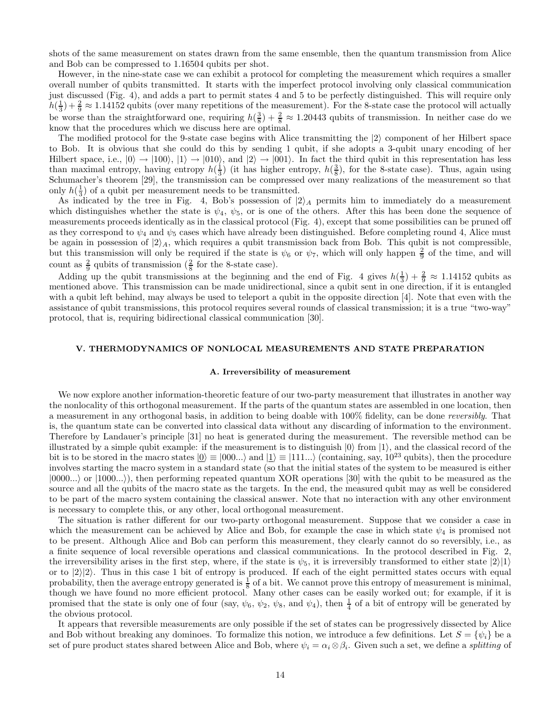shots of the same measurement on states drawn from the same ensemble, then the quantum transmission from Alice and Bob can be compressed to 1.16504 qubits per shot.

However, in the nine-state case we can exhibit a protocol for completing the measurement which requires a smaller overall number of qubits transmitted. It starts with the imperfect protocol involving only classical communication just discussed (Fig. 4), and adds a part to permit states 4 and 5 to be perfectly distinguished. This will require only  $h(\frac{1}{3}) + \frac{2}{9} \approx 1.14152$  qubits (over many repetitions of the measurement). For the 8-state case the protocol will actually be worse than the straightforward one, requiring  $h(\frac{3}{8}) + \frac{2}{8} \approx 1.20443$  qubits of transmission. In neither case do we know that the procedures which we discuss here are optimal.

The modified protocol for the 9-state case begins with Alice transmitting the  $|2\rangle$  component of her Hilbert space to Bob. It is obvious that she could do this by sending 1 qubit, if she adopts a 3-qubit unary encoding of her Hilbert space, i.e.,  $|0\rangle \rightarrow |100\rangle$ ,  $|1\rangle \rightarrow |010\rangle$ , and  $|2\rangle \rightarrow |001\rangle$ . In fact the third qubit in this representation has less than maximal entropy, having entropy  $h(\frac{1}{3})$  (it has higher entropy,  $h(\frac{3}{8})$ , for the 8-state case). Thus, again using Schumacher's theorem [29], the transmission can be compressed over many realizations of the measurement so that only  $h(\frac{1}{3})$  of a qubit per measurement needs to be transmitted.

As indicated by the tree in Fig. 4, Bob's possession of  $|2\rangle_A$  permits him to immediately do a measurement which distinguishes whether the state is  $\psi_4$ ,  $\psi_5$ , or is one of the others. After this has been done the sequence of measurements proceeds identically as in the classical protocol (Fig. 4), except that some possibilities can be pruned off as they correspond to  $\psi_4$  and  $\psi_5$  cases which have already been distinguished. Before completing round 4, Alice must be again in possession of  $|2\rangle_A$ , which requires a qubit transmission back from Bob. This qubit is not compressible, but this transmission will only be required if the state is  $\psi_6$  or  $\psi_7$ , which will only happen  $\frac{2}{9}$  of the time, and will count as  $\frac{2}{9}$  qubits of transmission  $(\frac{2}{8}$  for the 8-state case).

Adding up the qubit transmissions at the beginning and the end of Fig. 4 gives  $h(\frac{1}{3}) + \frac{2}{9} \approx 1.14152$  qubits as mentioned above. This transmission can be made unidirectional, since a qubit sent in one direction, if it is entangled with a qubit left behind, may always be used to teleport a qubit in the opposite direction [4]. Note that even with the assistance of qubit transmissions, this protocol requires several rounds of classical transmission; it is a true "two-way" protocol, that is, requiring bidirectional classical communication [30].

### V. THERMODYNAMICS OF NONLOCAL MEASUREMENTS AND STATE PREPARATION

#### A. Irreversibility of measurement

We now explore another information-theoretic feature of our two-party measurement that illustrates in another way the nonlocality of this orthogonal measurement. If the parts of the quantum states are assembled in one location, then a measurement in any orthogonal basis, in addition to being doable with 100% fidelity, can be done reversibly. That is, the quantum state can be converted into classical data without any discarding of information to the environment. Therefore by Landauer's principle [31] no heat is generated during the measurement. The reversible method can be illustrated by a simple qubit example: if the measurement is to distinguish  $|0\rangle$  from  $|1\rangle$ , and the classical record of the bit is to be stored in the macro states  $|0\rangle \equiv |000...\rangle$  and  $|1\rangle \equiv |111...\rangle$  (containing, say,  $|10^{23}$  qubits), then the procedure involves starting the macro system in a standard state (so that the initial states of the system to be measured is either  $|0000...\rangle$  or  $|1000...\rangle$ , then performing repeated quantum XOR operations [30] with the qubit to be measured as the source and all the qubits of the macro state as the targets. In the end, the measured qubit may as well be considered to be part of the macro system containing the classical answer. Note that no interaction with any other environment is necessary to complete this, or any other, local orthogonal measurement.

The situation is rather different for our two-party orthogonal measurement. Suppose that we consider a case in which the measurement can be achieved by Alice and Bob, for example the case in which state  $\psi_4$  is promised not to be present. Although Alice and Bob can perform this measurement, they clearly cannot do so reversibly, i.e., as a finite sequence of local reversible operations and classical communications. In the protocol described in Fig. 2, the irreversibility arises in the first step, where, if the state is  $\psi_5$ , it is irreversibly transformed to either state  $|2\rangle|1\rangle$ or to  $|2\rangle|2\rangle$ . Thus in this case 1 bit of entropy is produced. If each of the eight permitted states occurs with equal probability, then the average entropy generated is  $\frac{1}{8}$  of a bit. We cannot prove this entropy of measurement is minimal, though we have found no more efficient protocol. Many other cases can be easily worked out; for example, if it is promised that the state is only one of four (say,  $\psi_6$ ,  $\psi_2$ ,  $\psi_8$ , and  $\psi_4$ ), then  $\frac{1}{4}$  of a bit of entropy will be generated by the obvious protocol.

It appears that reversible measurements are only possible if the set of states can be progressively dissected by Alice and Bob without breaking any dominoes. To formalize this notion, we introduce a few definitions. Let  $S = \{\psi_i\}$  be a set of pure product states shared between Alice and Bob, where  $\psi_i = \alpha_i \otimes \beta_i$ . Given such a set, we define a *splitting* of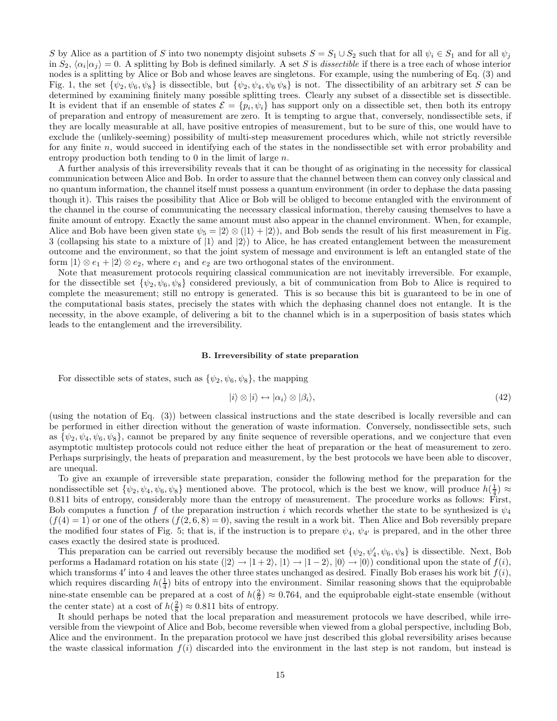S by Alice as a partition of S into two nonempty disjoint subsets  $S = S_1 \cup S_2$  such that for all  $\psi_i \in S_1$  and for all  $\psi_j$ in  $S_2$ ,  $\langle \alpha_i | \alpha_j \rangle = 0$ . A splitting by Bob is defined similarly. A set S is *dissectible* if there is a tree each of whose interior nodes is a splitting by Alice or Bob and whose leaves are singletons. For example, using the numbering of Eq. (3) and Fig. 1, the set  $\{\psi_2, \psi_6, \psi_8\}$  is dissectible, but  $\{\psi_2, \psi_4, \psi_6, \psi_8\}$  is not. The dissectibility of an arbitrary set S can be determined by examining finitely many possible splitting trees. Clearly any subset of a dissectible set is dissectible. It is evident that if an ensemble of states  $\mathcal{E} = \{p_i, \psi_i\}$  has support only on a dissectible set, then both its entropy of preparation and entropy of measurement are zero. It is tempting to argue that, conversely, nondissectible sets, if they are locally measurable at all, have positive entropies of measurement, but to be sure of this, one would have to exclude the (unlikely-seeming) possibility of multi-step measurement procedures which, while not strictly reversible for any finite n, would succeed in identifying each of the states in the nondissectible set with error probability and entropy production both tending to 0 in the limit of large  $n$ .

A further analysis of this irreversibility reveals that it can be thought of as originating in the necessity for classical communication between Alice and Bob. In order to assure that the channel between them can convey only classical and no quantum information, the channel itself must possess a quantum environment (in order to dephase the data passing though it). This raises the possibility that Alice or Bob will be obliged to become entangled with the environment of the channel in the course of communicating the necessary classical information, thereby causing themselves to have a finite amount of entropy. Exactly the same amount must also appear in the channel environment. When, for example, Alice and Bob have been given state  $\psi_5 = |2\rangle \otimes (|1\rangle + |2\rangle)$ , and Bob sends the result of his first measurement in Fig. 3 (collapsing his state to a mixture of  $|1\rangle$  and  $|2\rangle$ ) to Alice, he has created entanglement between the measurement outcome and the environment, so that the joint system of message and environment is left an entangled state of the form  $|1\rangle \otimes e_1 + |2\rangle \otimes e_2$ , where  $e_1$  and  $e_2$  are two orthogonal states of the environment.

Note that measurement protocols requiring classical communication are not inevitably irreversible. For example, for the dissectible set  $\{\psi_2, \psi_6, \psi_8\}$  considered previously, a bit of communication from Bob to Alice is required to complete the measurement; still no entropy is generated. This is so because this bit is guaranteed to be in one of the computational basis states, precisely the states with which the dephasing channel does not entangle. It is the necessity, in the above example, of delivering a bit to the channel which is in a superposition of basis states which leads to the entanglement and the irreversibility.

#### B. Irreversibility of state preparation

For dissectible sets of states, such as  $\{\psi_2, \psi_6, \psi_8\}$ , the mapping

$$
|i\rangle \otimes |i\rangle \leftrightarrow |\alpha_i\rangle \otimes |\beta_i\rangle, \tag{42}
$$

(using the notation of Eq. (3)) between classical instructions and the state described is locally reversible and can be performed in either direction without the generation of waste information. Conversely, nondissectible sets, such as  $\{\psi_2, \psi_4, \psi_6, \psi_8\}$ , cannot be prepared by any finite sequence of reversible operations, and we conjecture that even asymptotic multistep protocols could not reduce either the heat of preparation or the heat of measurement to zero. Perhaps surprisingly, the heats of preparation and measurement, by the best protocols we have been able to discover, are unequal.

To give an example of irreversible state preparation, consider the following method for the preparation for the nondissectible set  $\{\psi_2, \psi_4, \psi_6, \psi_8\}$  mentioned above. The protocol, which is the best we know, will produce  $h(\frac{1}{4}) \approx$ 0.811 bits of entropy, considerably more than the entropy of measurement. The procedure works as follows: First, Bob computes a function f of the preparation instruction i which records whether the state to be synthesized is  $\psi_4$  $(f(4) = 1)$  or one of the others  $(f(2, 6, 8) = 0)$ , saving the result in a work bit. Then Alice and Bob reversibly prepare the modified four states of Fig. 5; that is, if the instruction is to prepare  $\psi_4$ ,  $\psi_{4'}$  is prepared, and in the other three cases exactly the desired state is produced.

This preparation can be carried out reversibly because the modified set  $\{\psi_2, \psi'_4, \psi_6, \psi_8\}$  is dissectible. Next, Bob performs a Hadamard rotation on his state  $(|2\rangle \rightarrow |1+2\rangle, |1\rangle \rightarrow |1-2\rangle, |0\rangle \rightarrow |0\rangle)$  conditional upon the state of  $f(i)$ , which transforms 4' into 4 and leaves the other three states unchanged as desired. Finally Bob erases his work bit  $f(i)$ , which requires discarding  $h(\frac{1}{4})$  bits of entropy into the environment. Similar reasoning shows that the equiprobable nine-state ensemble can be prepared at a cost of  $h(\frac{2}{9}) \approx 0.764$ , and the equiprobable eight-state ensemble (without the center state) at a cost of  $h(\frac{2}{8}) \approx 0.811$  bits of entropy.

It should perhaps be noted that the local preparation and measurement protocols we have described, while irreversible from the viewpoint of Alice and Bob, become reversible when viewed from a global perspective, including Bob, Alice and the environment. In the preparation protocol we have just described this global reversibility arises because the waste classical information  $f(i)$  discarded into the environment in the last step is not random, but instead is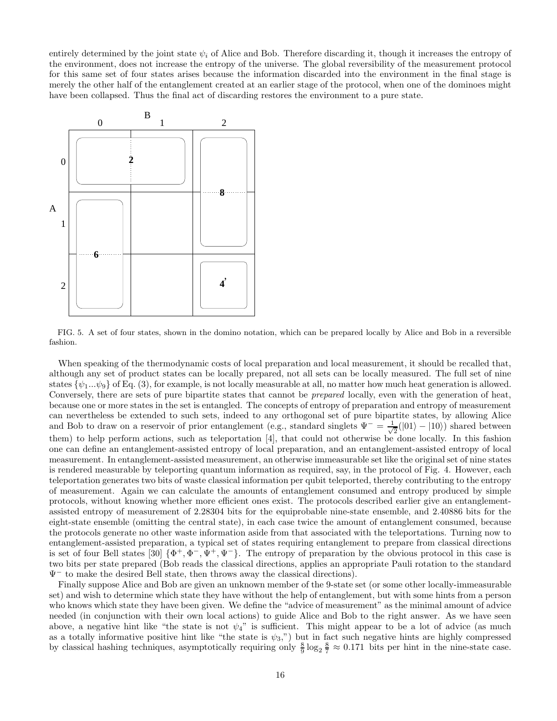entirely determined by the joint state  $\psi_i$  of Alice and Bob. Therefore discarding it, though it increases the entropy of the environment, does not increase the entropy of the universe. The global reversibility of the measurement protocol for this same set of four states arises because the information discarded into the environment in the final stage is merely the other half of the entanglement created at an earlier stage of the protocol, when one of the dominoes might have been collapsed. Thus the final act of discarding restores the environment to a pure state.



FIG. 5. A set of four states, shown in the domino notation, which can be prepared locally by Alice and Bob in a reversible fashion.

When speaking of the thermodynamic costs of local preparation and local measurement, it should be recalled that, although any set of product states can be locally prepared, not all sets can be locally measured. The full set of nine states  $\{\psi_1...\psi_9\}$  of Eq. (3), for example, is not locally measurable at all, no matter how much heat generation is allowed. Conversely, there are sets of pure bipartite states that cannot be prepared locally, even with the generation of heat, because one or more states in the set is entangled. The concepts of entropy of preparation and entropy of measurement can nevertheless be extended to such sets, indeed to any orthogonal set of pure bipartite states, by allowing Alice and Bob to draw on a reservoir of prior entanglement (e.g., standard singlets  $\Psi^{-} = \frac{1}{\sqrt{2}}$  $\frac{1}{2}(|01\rangle - |10\rangle)$  shared between them) to help perform actions, such as teleportation [4], that could not otherwise be done locally. In this fashion one can define an entanglement-assisted entropy of local preparation, and an entanglement-assisted entropy of local measurement. In entanglement-assisted measurement, an otherwise immeasurable set like the original set of nine states is rendered measurable by teleporting quantum information as required, say, in the protocol of Fig. 4. However, each teleportation generates two bits of waste classical information per qubit teleported, thereby contributing to the entropy of measurement. Again we can calculate the amounts of entanglement consumed and entropy produced by simple protocols, without knowing whether more efficient ones exist. The protocols described earlier give an entanglementassisted entropy of measurement of 2.28304 bits for the equiprobable nine-state ensemble, and 2.40886 bits for the eight-state ensemble (omitting the central state), in each case twice the amount of entanglement consumed, because the protocols generate no other waste information aside from that associated with the teleportations. Turning now to entanglement-assisted preparation, a typical set of states requiring entanglement to prepare from classical directions is set of four Bell states  $[30]$   $\{\Phi^+, \Phi^-, \Psi^+, \Psi^-\}$ . The entropy of preparation by the obvious protocol in this case is two bits per state prepared (Bob reads the classical directions, applies an appropriate Pauli rotation to the standard Ψ<sup>−</sup> to make the desired Bell state, then throws away the classical directions).

Finally suppose Alice and Bob are given an unknown member of the 9-state set (or some other locally-immeasurable set) and wish to determine which state they have without the help of entanglement, but with some hints from a person who knows which state they have been given. We define the "advice of measurement" as the minimal amount of advice needed (in conjunction with their own local actions) to guide Alice and Bob to the right answer. As we have seen above, a negative hint like "the state is not  $\psi_4$ " is sufficient. This might appear to be a lot of advice (as much as a totally informative positive hint like "the state is  $\psi_3$ ,") but in fact such negative hints are highly compressed by classical hashing techniques, asymptotically requiring only  $\frac{8}{9} \log_2 \frac{8}{7} \approx 0.171$  bits per hint in the nine-state case.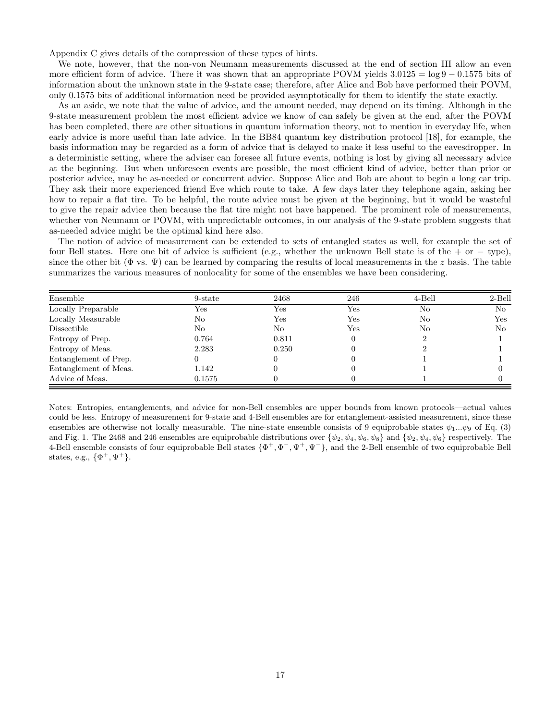Appendix C gives details of the compression of these types of hints.

We note, however, that the non-von Neumann measurements discussed at the end of section III allow an even more efficient form of advice. There it was shown that an appropriate POVM yields  $3.0125 = \log 9 - 0.1575$  bits of information about the unknown state in the 9-state case; therefore, after Alice and Bob have performed their POVM, only 0.1575 bits of additional information need be provided asymptotically for them to identify the state exactly.

As an aside, we note that the value of advice, and the amount needed, may depend on its timing. Although in the 9-state measurement problem the most efficient advice we know of can safely be given at the end, after the POVM has been completed, there are other situations in quantum information theory, not to mention in everyday life, when early advice is more useful than late advice. In the BB84 quantum key distribution protocol [18], for example, the basis information may be regarded as a form of advice that is delayed to make it less useful to the eavesdropper. In a deterministic setting, where the adviser can foresee all future events, nothing is lost by giving all necessary advice at the beginning. But when unforeseen events are possible, the most efficient kind of advice, better than prior or posterior advice, may be as-needed or concurrent advice. Suppose Alice and Bob are about to begin a long car trip. They ask their more experienced friend Eve which route to take. A few days later they telephone again, asking her how to repair a flat tire. To be helpful, the route advice must be given at the beginning, but it would be wasteful to give the repair advice then because the flat tire might not have happened. The prominent role of measurements, whether von Neumann or POVM, with unpredictable outcomes, in our analysis of the 9-state problem suggests that as-needed advice might be the optimal kind here also.

The notion of advice of measurement can be extended to sets of entangled states as well, for example the set of four Bell states. Here one bit of advice is sufficient (e.g., whether the unknown Bell state is of the + or  $-$  type), since the other bit ( $\Phi$  vs.  $\Psi$ ) can be learned by comparing the results of local measurements in the z basis. The table summarizes the various measures of nonlocality for some of the ensembles we have been considering.

| Ensemble              | 9-state | 2468  | 246 | 4-Bell | 2-Bell         |
|-----------------------|---------|-------|-----|--------|----------------|
| Locally Preparable    | Yes     | Yes   | Yes | No     | N <sub>o</sub> |
| Locally Measurable    | No      | Yes   | Yes | No     | Yes            |
| Dissectible           | No      | No    | Yes | No     | N <sub>o</sub> |
| Entropy of Prep.      | 0.764   | 0.811 |     |        |                |
| Entropy of Meas.      | 2.283   | 0.250 |     |        |                |
| Entanglement of Prep. |         |       |     |        |                |
| Entanglement of Meas. | 1.142   |       |     |        |                |
| Advice of Meas.       | 0.1575  |       |     |        |                |

Notes: Entropies, entanglements, and advice for non-Bell ensembles are upper bounds from known protocols—actual values could be less. Entropy of measurement for 9-state and 4-Bell ensembles are for entanglement-assisted measurement, since these ensembles are otherwise not locally measurable. The nine-state ensemble consists of 9 equiprobable states  $\psi_1...\psi_9$  of Eq. (3) and Fig. 1. The 2468 and 246 ensembles are equiprobable distributions over  $\{\psi_2, \psi_4, \psi_6, \psi_8\}$  and  $\{\psi_2, \psi_4, \psi_6\}$  respectively. The 4-Bell ensemble consists of four equiprobable Bell states  $\{\Phi^+, \Phi^-, \Psi^+, \Psi^-\}$ , and the 2-Bell ensemble of two equiprobable Bell states, e.g.,  $\{\Phi^+, \Psi^+\}.$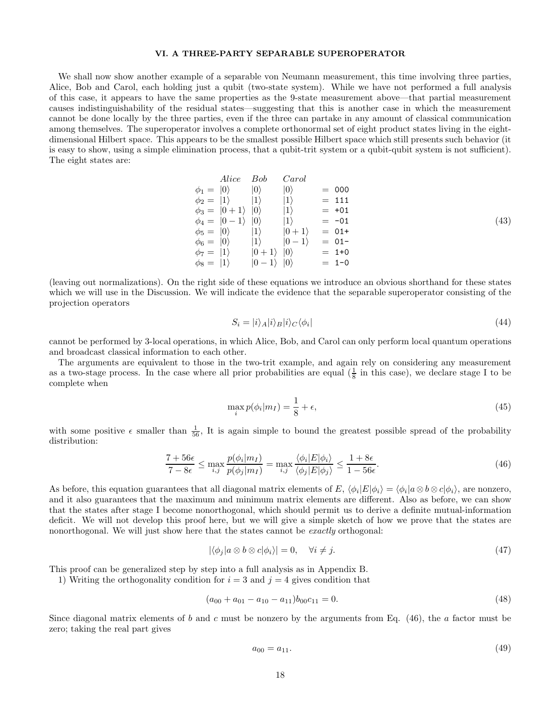### VI. A THREE-PARTY SEPARABLE SUPEROPERATOR

We shall now show another example of a separable von Neumann measurement, this time involving three parties, Alice, Bob and Carol, each holding just a qubit (two-state system). While we have not performed a full analysis of this case, it appears to have the same properties as the 9-state measurement above—that partial measurement causes indistinguishability of the residual states—suggesting that this is another case in which the measurement cannot be done locally by the three parties, even if the three can partake in any amount of classical communication among themselves. The superoperator involves a complete orthonormal set of eight product states living in the eightdimensional Hilbert space. This appears to be the smallest possible Hilbert space which still presents such behavior (it is easy to show, using a simple elimination process, that a qubit-trit system or a qubit-qubit system is not sufficient). The eight states are:

| Alice Bob                        |                           | Carol                                              |          |      |
|----------------------------------|---------------------------|----------------------------------------------------|----------|------|
| $\phi_1 =  0\rangle$ $ 0\rangle$ |                           | $ 0\rangle$                                        | $= 000$  |      |
| $\phi_2 =  1\rangle$  1}         |                           | $ 1\rangle$                                        | $= 111$  |      |
| $\phi_3 =  0+1\rangle  0\rangle$ |                           | $ 1\rangle$                                        | $= +01$  |      |
| $\phi_4 =  0-1\rangle  0\rangle$ |                           | $ 1\rangle$                                        | $= -01$  | (43) |
| $\phi_5 =  0\rangle$             | $ 1\rangle$ $ 0+1\rangle$ |                                                    | $= 01+$  |      |
| $\phi_6 =  0\rangle$  1}         |                           | $ 0-1\rangle$                                      | $= 01 -$ |      |
|                                  |                           | $\phi_7 =  1\rangle$ $ 0+1\rangle  0\rangle$ = 1+0 |          |      |
|                                  |                           | $\phi_8 =  1\rangle$ $ 0-1\rangle  0\rangle$ = 1-0 |          |      |
|                                  |                           |                                                    |          |      |

(leaving out normalizations). On the right side of these equations we introduce an obvious shorthand for these states which we will use in the Discussion. We will indicate the evidence that the separable superoperator consisting of the projection operators

$$
S_i = |i\rangle_A |i\rangle_B |i\rangle_C \langle \phi_i|
$$
\n(44)

cannot be performed by 3-local operations, in which Alice, Bob, and Carol can only perform local quantum operations and broadcast classical information to each other.

The arguments are equivalent to those in the two-trit example, and again rely on considering any measurement as a two-stage process. In the case where all prior probabilities are equal  $(\frac{1}{8}$  in this case), we declare stage I to be complete when

$$
\max_{i} p(\phi_i|m_I) = \frac{1}{8} + \epsilon,\tag{45}
$$

with some positive  $\epsilon$  smaller than  $\frac{1}{56}$ , It is again simple to bound the greatest possible spread of the probability distribution:

$$
\frac{7+56\epsilon}{7-8\epsilon} \le \max_{i,j} \frac{p(\phi_i|m_I)}{p(\phi_j|m_I)} = \max_{i,j} \frac{\langle \phi_i|E|\phi_i \rangle}{\langle \phi_j|E|\phi_j \rangle} \le \frac{1+8\epsilon}{1-56\epsilon}.
$$
\n(46)

As before, this equation guarantees that all diagonal matrix elements of E,  $\langle \phi_i | E | \phi_i \rangle = \langle \phi_i | a \otimes b \otimes c | \phi_i \rangle$ , are nonzero, and it also guarantees that the maximum and minimum matrix elements are different. Also as before, we can show that the states after stage I become nonorthogonal, which should permit us to derive a definite mutual-information deficit. We will not develop this proof here, but we will give a simple sketch of how we prove that the states are nonorthogonal. We will just show here that the states cannot be *exactly* orthogonal:

$$
|\langle \phi_j | a \otimes b \otimes c | \phi_i \rangle| = 0, \quad \forall i \neq j. \tag{47}
$$

This proof can be generalized step by step into a full analysis as in Appendix B.

1) Writing the orthogonality condition for  $i = 3$  and  $j = 4$  gives condition that

$$
(a_{00} + a_{01} - a_{10} - a_{11})b_{00}c_{11} = 0.
$$
\n(48)

Since diagonal matrix elements of b and c must be nonzero by the arguments from Eq.  $(46)$ , the a factor must be zero; taking the real part gives

$$
a_{00} = a_{11}.\tag{49}
$$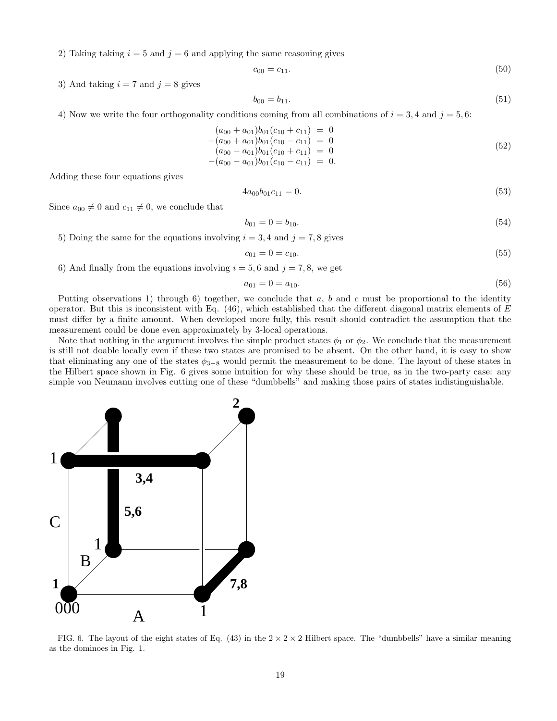2) Taking taking  $i = 5$  and  $j = 6$  and applying the same reasoning gives

$$
c_{00} = c_{11}.\tag{50}
$$

3) And taking  $i = 7$  and  $j = 8$  gives

$$
b_{00} = b_{11}.\tag{51}
$$

4) Now we write the four orthogonality conditions coming from all combinations of  $i = 3, 4$  and  $j = 5, 6$ :

$$
(a00 + a01)b01(c10 + c11) = 0-(a00 + a01)b01(c10 - c11) = 0(a00 - a01)b01(c10 + c11) = 0-(a00 - a01)b01(c10 - c11) = 0.
$$
\n(52)

Adding these four equations gives

$$
4a_{00}b_{01}c_{11} = 0.\t\t(53)
$$

Since  $a_{00} \neq 0$  and  $c_{11} \neq 0$ , we conclude that

$$
b_{01} = 0 = b_{10}.\tag{54}
$$

5) Doing the same for the equations involving  $i = 3, 4$  and  $j = 7, 8$  gives

$$
c_{01} = 0 = c_{10}.\tag{55}
$$

6) And finally from the equations involving  $i = 5, 6$  and  $j = 7, 8$ , we get

$$
a_{01} = 0 = a_{10}.\tag{56}
$$

Putting observations 1) through 6) together, we conclude that  $a, b$  and c must be proportional to the identity operator. But this is inconsistent with Eq.  $(46)$ , which established that the different diagonal matrix elements of E must differ by a finite amount. When developed more fully, this result should contradict the assumption that the measurement could be done even approximately by 3-local operations.

Note that nothing in the argument involves the simple product states  $\phi_1$  or  $\phi_2$ . We conclude that the measurement is still not doable locally even if these two states are promised to be absent. On the other hand, it is easy to show that eliminating any one of the states  $\phi_{3-8}$  would permit the measurement to be done. The layout of these states in the Hilbert space shown in Fig. 6 gives some intuition for why these should be true, as in the two-party case: any simple von Neumann involves cutting one of these "dumbbells" and making those pairs of states indistinguishable.



FIG. 6. The layout of the eight states of Eq. (43) in the  $2 \times 2 \times 2$  Hilbert space. The "dumbbells" have a similar meaning as the dominoes in Fig. 1.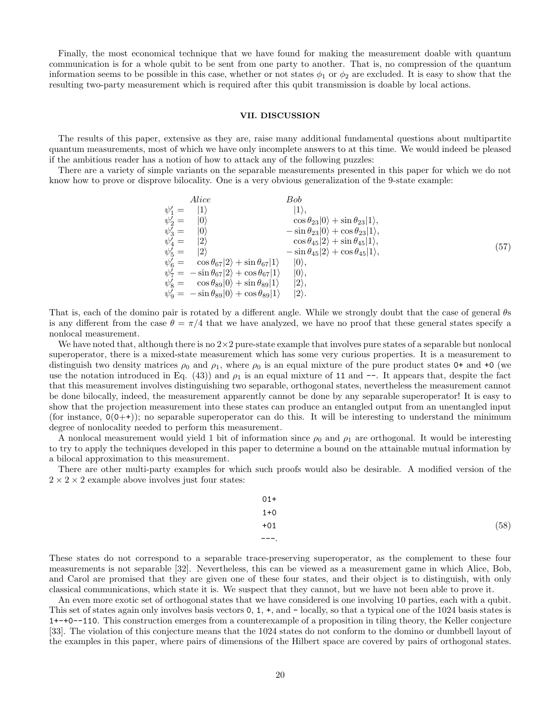Finally, the most economical technique that we have found for making the measurement doable with quantum communication is for a whole qubit to be sent from one party to another. That is, no compression of the quantum information seems to be possible in this case, whether or not states  $\phi_1$  or  $\phi_2$  are excluded. It is easy to show that the resulting two-party measurement which is required after this qubit transmission is doable by local actions.

### VII. DISCUSSION

The results of this paper, extensive as they are, raise many additional fundamental questions about multipartite quantum measurements, most of which we have only incomplete answers to at this time. We would indeed be pleased if the ambitious reader has a notion of how to attack any of the following puzzles:

There are a variety of simple variants on the separable measurements presented in this paper for which we do not know how to prove or disprove bilocality. One is a very obvious generalization of the 9-state example:

*Alice*  
\n
$$
\psi_1' = |1\rangle
$$
\n
$$
\psi_2' = |0\rangle
$$
\n
$$
\psi_3' = |0\rangle
$$
\n
$$
\psi_4' = |2\rangle
$$
\n
$$
\psi_5' = |2\rangle
$$
\n
$$
\psi_6' = \cos \theta_{67} |2\rangle + \sin \theta_{67} |1\rangle
$$
\n
$$
\psi_5' = -\sin \theta_{67} |2\rangle + \cos \theta_{67} |1\rangle
$$
\n
$$
\psi_7' = -\sin \theta_{67} |2\rangle + \cos \theta_{67} |1\rangle
$$
\n
$$
\psi_8' = \cos \theta_{89} |0\rangle + \sin \theta_{89} |1\rangle
$$
\n
$$
\psi_9' = -\sin \theta_{89} |0\rangle + \cos \theta_{89} |1\rangle
$$
\n
$$
\psi_1' = -\sin \theta_{89} |0\rangle + \cos \theta_{89} |1\rangle
$$
\n
$$
\psi_2' = \cos \theta_{89} |0\rangle + \cos \theta_{89} |1\rangle
$$
\n
$$
\psi_3' = \cos \theta_{89} |0\rangle + \cos \theta_{89} |1\rangle
$$
\n
$$
\psi_4' = 2\rangle
$$
\n
$$
\psi_5' = \cos \theta_{89} |0\rangle + \cos \theta_{89} |1\rangle
$$
\n
$$
\psi_6' = \cos \theta_{89} |0\rangle + \cos \theta_{89} |1\rangle
$$
\n
$$
\psi_7' = \cos \theta_{89} |0\rangle + \cos \theta_{89} |1\rangle
$$
\n
$$
\psi_8' = \cos \theta_{89} |0\rangle + \cos \theta_{89} |1\rangle
$$
\n
$$
\psi_9' = \cos \theta_{89} |0\rangle + \cos \theta_{89} |1\rangle
$$
\n
$$
\psi_9' = \cos \theta_{89} |0\rangle + \cos \theta_{89} |1\rangle
$$
\n
$$
\psi_9' = \cos \theta_{89} |0\rangle + \cos \theta_{89} |1\rangle
$$
\n
$$
\psi_9' = \cos \theta_{89} |0\rangle + \cos \theta_{89} |1\rangle
$$

That is, each of the domino pair is rotated by a different angle. While we strongly doubt that the case of general  $\theta$ s is any different from the case  $\theta = \pi/4$  that we have analyzed, we have no proof that these general states specify a nonlocal measurement.

We have noted that, although there is no  $2\times 2$  pure-state example that involves pure states of a separable but nonlocal superoperator, there is a mixed-state measurement which has some very curious properties. It is a measurement to distinguish two density matrices  $\rho_0$  and  $\rho_1$ , where  $\rho_0$  is an equal mixture of the pure product states 0+ and +0 (we use the notation introduced in Eq. (43)) and  $\rho_1$  is an equal mixture of 11 and --. It appears that, despite the fact that this measurement involves distinguishing two separable, orthogonal states, nevertheless the measurement cannot be done bilocally, indeed, the measurement apparently cannot be done by any separable superoperator! It is easy to show that the projection measurement into these states can produce an entangled output from an unentangled input (for instance,  $O(0+1)$ ); no separable superoperator can do this. It will be interesting to understand the minimum degree of nonlocality needed to perform this measurement.

A nonlocal measurement would yield 1 bit of information since  $\rho_0$  and  $\rho_1$  are orthogonal. It would be interesting to try to apply the techniques developed in this paper to determine a bound on the attainable mutual information by a bilocal approximation to this measurement.

There are other multi-party examples for which such proofs would also be desirable. A modified version of the  $2 \times 2 \times 2$  example above involves just four states:

| $01+$   |      |
|---------|------|
| $1 + 0$ |      |
| $+01$   | (58) |
| $---.$  |      |

These states do not correspond to a separable trace-preserving superoperator, as the complement to these four measurements is not separable [32]. Nevertheless, this can be viewed as a measurement game in which Alice, Bob, and Carol are promised that they are given one of these four states, and their object is to distinguish, with only classical communications, which state it is. We suspect that they cannot, but we have not been able to prove it.

An even more exotic set of orthogonal states that we have considered is one involving 10 parties, each with a qubit. This set of states again only involves basis vectors 0, 1, +, and - locally, so that a typical one of the 1024 basis states is 1+-+0--110. This construction emerges from a counterexample of a proposition in tiling theory, the Keller conjecture [33]. The violation of this conjecture means that the 1024 states do not conform to the domino or dumbbell layout of the examples in this paper, where pairs of dimensions of the Hilbert space are covered by pairs of orthogonal states.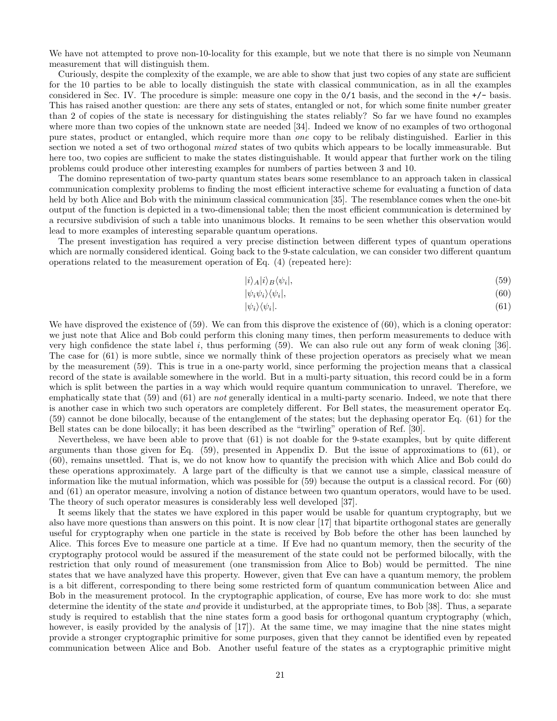We have not attempted to prove non-10-locality for this example, but we note that there is no simple von Neumann measurement that will distinguish them.

Curiously, despite the complexity of the example, we are able to show that just two copies of any state are sufficient for the 10 parties to be able to locally distinguish the state with classical communication, as in all the examples considered in Sec. IV. The procedure is simple: measure one copy in the 0/1 basis, and the second in the +/- basis. This has raised another question: are there any sets of states, entangled or not, for which some finite number greater than 2 of copies of the state is necessary for distinguishing the states reliably? So far we have found no examples where more than two copies of the unknown state are needed [34]. Indeed we know of no examples of two orthogonal pure states, product or entangled, which require more than one copy to be relibaly distinguished. Earlier in this section we noted a set of two orthogonal *mixed* states of two qubits which appears to be locally immeasurable. But here too, two copies are sufficient to make the states distinguishable. It would appear that further work on the tiling problems could produce other interesting examples for numbers of parties between 3 and 10.

The domino representation of two-party quantum states bears some resemblance to an approach taken in classical communication complexity problems to finding the most efficient interactive scheme for evaluating a function of data held by both Alice and Bob with the minimum classical communication [35]. The resemblance comes when the one-bit output of the function is depicted in a two-dimensional table; then the most efficient communication is determined by a recursive subdivision of such a table into unanimous blocks. It remains to be seen whether this observation would lead to more examples of interesting separable quantum operations.

The present investigation has required a very precise distinction between different types of quantum operations which are normally considered identical. Going back to the 9-state calculation, we can consider two different quantum operations related to the measurement operation of Eq. (4) (repeated here):

$$
|i\rangle_A |i\rangle_B \langle \psi_i |, \tag{59}
$$

$$
|\psi_i \psi_i \rangle \langle \psi_i |, \tag{60}
$$

$$
|\psi_i\rangle\langle\psi_i|.\tag{61}
$$

We have disproved the existence of (59). We can from this disprove the existence of (60), which is a cloning operator: we just note that Alice and Bob could perform this cloning many times, then perform measurements to deduce with very high confidence the state label i, thus performing (59). We can also rule out any form of weak cloning [36]. The case for (61) is more subtle, since we normally think of these projection operators as precisely what we mean by the measurement (59). This is true in a one-party world, since performing the projection means that a classical record of the state is available somewhere in the world. But in a multi-party situation, this record could be in a form which is split between the parties in a way which would require quantum communication to unravel. Therefore, we emphatically state that (59) and (61) are not generally identical in a multi-party scenario. Indeed, we note that there is another case in which two such operators are completely different. For Bell states, the measurement operator Eq. (59) cannot be done bilocally, because of the entanglement of the states; but the dephasing operator Eq. (61) for the Bell states can be done bilocally; it has been described as the "twirling" operation of Ref. [30].

Nevertheless, we have been able to prove that (61) is not doable for the 9-state examples, but by quite different arguments than those given for Eq. (59), presented in Appendix D. But the issue of approximations to (61), or (60), remains unsettled. That is, we do not know how to quantify the precision with which Alice and Bob could do these operations approximately. A large part of the difficulty is that we cannot use a simple, classical measure of information like the mutual information, which was possible for (59) because the output is a classical record. For (60) and (61) an operator measure, involving a notion of distance between two quantum operators, would have to be used. The theory of such operator measures is considerably less well developed [37].

It seems likely that the states we have explored in this paper would be usable for quantum cryptography, but we also have more questions than answers on this point. It is now clear [17] that bipartite orthogonal states are generally useful for cryptography when one particle in the state is received by Bob before the other has been launched by Alice. This forces Eve to measure one particle at a time. If Eve had no quantum memory, then the security of the cryptography protocol would be assured if the measurement of the state could not be performed bilocally, with the restriction that only round of measurement (one transmission from Alice to Bob) would be permitted. The nine states that we have analyzed have this property. However, given that Eve can have a quantum memory, the problem is a bit different, corresponding to there being some restricted form of quantum communication between Alice and Bob in the measurement protocol. In the cryptographic application, of course, Eve has more work to do: she must determine the identity of the state *and* provide it undisturbed, at the appropriate times, to Bob [38]. Thus, a separate study is required to establish that the nine states form a good basis for orthogonal quantum cryptography (which, however, is easily provided by the analysis of [17]). At the same time, we may imagine that the nine states might provide a stronger cryptographic primitive for some purposes, given that they cannot be identified even by repeated communication between Alice and Bob. Another useful feature of the states as a cryptographic primitive might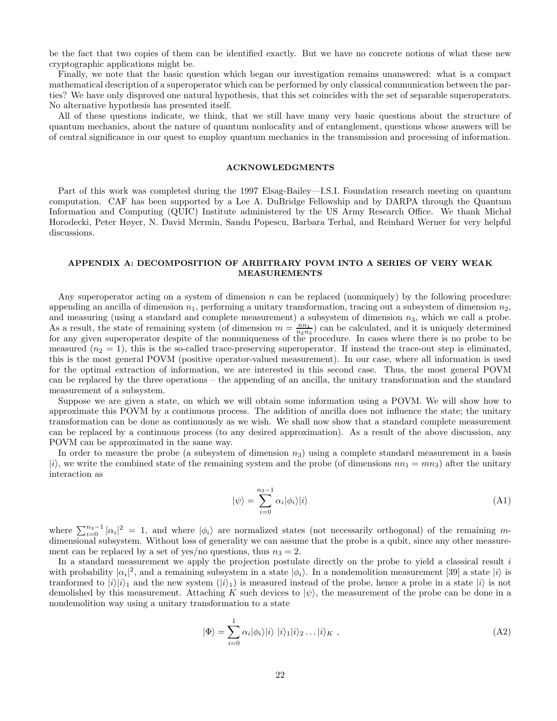be the fact that two copies of them can be identified exactly. But we have no concrete notions of what these new cryptographic applications might be.

Finally, we note that the basic question which began our investigation remains unanswered: what is a compact mathematical description of a superoperator which can be performed by only classical communication between the parties? We have only disproved one natural hypothesis, that this set coincides with the set of separable superoperators. No alternative hypothesis has presented itself.

All of these questions indicate, we think, that we still have many very basic questions about the structure of quantum mechanics, about the nature of quantum nonlocality and of entanglement, questions whose answers will be of central significance in our quest to employ quantum mechanics in the transmission and processing of information.

#### ACKNOWLEDGMENTS

Part of this work was completed during the 1997 Elsag-Bailey—I.S.I. Foundation research meeting on quantum computation. CAF has been supported by a Lee A. DuBridge Fellowship and by DARPA through the Quantum Information and Computing (QUIC) Institute administered by the US Army Research Office. We thank Micha Horodecki, Peter Høyer, N. David Mermin, Sandu Popescu, Barbara Terhal, and Reinhard Werner for very helpful discussions.

### APPENDIX A: DECOMPOSITION OF ARBITRARY POVM INTO A SERIES OF VERY WEAK MEASUREMENTS

Any superoperator acting on a system of dimension n can be replaced (nonuniquely) by the following procedure: appending an ancilla of dimension  $n_1$ , performing a unitary transformation, tracing out a subsystem of dimension  $n_2$ , and measuring (using a standard and complete measurement) a subsystem of dimension  $n_3$ , which we call a probe. As a result, the state of remaining system (of dimension  $m = \frac{nn_1}{n_2 n_3}$ ) can be calculated, and it is uniquely determined for any given superoperator despite of the nonuniqueness of the procedure. In cases where there is no probe to be measured  $(n_2 = 1)$ , this is the so-called trace-preserving superoperator. If instead the trace-out step is eliminated, this is the most general POVM (positive operator-valued measurement). In our case, where all information is used for the optimal extraction of information, we are interested in this second case. Thus, the most general POVM can be replaced by the three operations – the appending of an ancilla, the unitary transformation and the standard measurement of a subsystem.

Suppose we are given a state, on which we will obtain some information using a POVM. We will show how to approximate this POVM by a continuous process. The addition of ancilla does not influence the state; the unitary transformation can be done as continuously as we wish. We shall now show that a standard complete measurement can be replaced by a continuous process (to any desired approximation). As a result of the above discussion, any POVM can be approximated in the same way.

In order to measure the probe (a subsystem of dimension  $n_3$ ) using a complete standard measurement in a basis  $|i\rangle$ , we write the combined state of the remaining system and the probe (of dimensions  $nn_1 = mn_3$ ) after the unitary interaction as

$$
|\psi\rangle = \sum_{i=0}^{n_3 - 1} \alpha_i |\phi_i\rangle |i\rangle \tag{A1}
$$

where  $\sum_{i=0}^{n_3-1} |\alpha_i|^2 = 1$ , and where  $|\phi_i\rangle$  are normalized states (not necessarily orthogonal) of the remaining mdimensional subsystem. Without loss of generality we can assume that the probe is a qubit, since any other measurement can be replaced by a set of yes/no questions, thus  $n_3 = 2$ .

In a standard measurement we apply the projection postulate directly on the probe to yield a classical result  $i$ with probability  $|\alpha_i|^2$ , and a remaining subsystem in a state  $|\phi_i\rangle$ . In a nondemolition measurement [39] a state  $|i\rangle$  is tranformed to  $|i\rangle|i\rangle_1$  and the new system  $(|i\rangle_1)$  is measured instead of the probe, hence a probe in a state  $|i\rangle$  is not demolished by this measurement. Attaching K such devices to  $|\psi\rangle$ , the measurement of the probe can be done in a nondemolition way using a unitary transformation to a state

$$
|\Phi\rangle = \sum_{i=0}^{1} \alpha_i |\phi_i\rangle |i\rangle |i\rangle_1 |i\rangle_2 \dots |i\rangle_K , \qquad (A2)
$$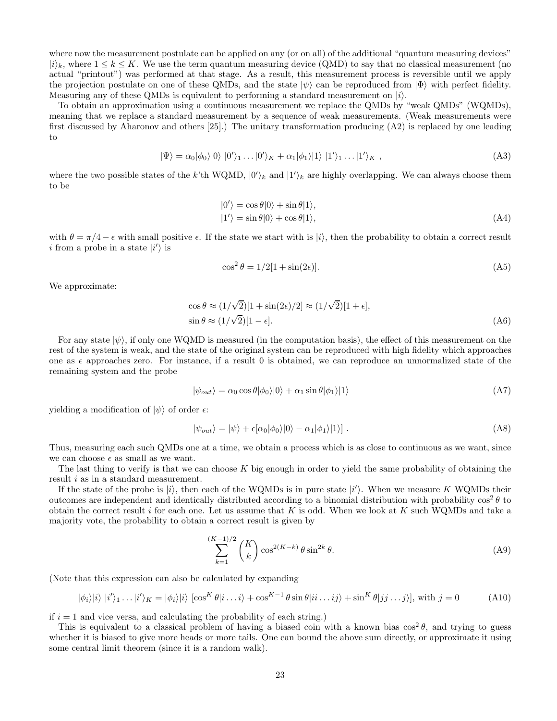where now the measurement postulate can be applied on any (or on all) of the additional "quantum measuring devices"  $|i\rangle_k$ , where  $1 \leq k \leq K$ . We use the term quantum measuring device (QMD) to say that no classical measurement (no actual "printout") was performed at that stage. As a result, this measurement process is reversible until we apply the projection postulate on one of these QMDs, and the state  $|\psi\rangle$  can be reproduced from  $|\Phi\rangle$  with perfect fidelity. Measuring any of these QMDs is equivalent to performing a standard measurement on  $|i\rangle$ .

To obtain an approximation using a continuous measurement we replace the QMDs by "weak QMDs" (WQMDs), meaning that we replace a standard measurement by a sequence of weak measurements. (Weak measurements were first discussed by Aharonov and others [25].) The unitary transformation producing (A2) is replaced by one leading to

$$
|\Psi\rangle = \alpha_0 |\phi_0\rangle |0\rangle |0\rangle_1 \dots |0\rangle_K + \alpha_1 |\phi_1\rangle |1\rangle |1\rangle_1 \dots |1\rangle_K , \qquad (A3)
$$

where the two possible states of the k'th WQMD,  $|0'\rangle_k$  and  $|1'\rangle_k$  are highly overlapping. We can always choose them to be

$$
|0'\rangle = \cos\theta|0\rangle + \sin\theta|1\rangle,
$$
  
\n
$$
|1'\rangle = \sin\theta|0\rangle + \cos\theta|1\rangle,
$$
\n(A4)

with  $\theta = \pi/4 - \epsilon$  with small positive  $\epsilon$ . If the state we start with is  $|i\rangle$ , then the probability to obtain a correct result i from a probe in a state  $|i'\rangle$  is

$$
\cos^2 \theta = 1/2[1 + \sin(2\epsilon)].\tag{A5}
$$

We approximate:

$$
\cos \theta \approx (1/\sqrt{2})[1 + \sin(2\epsilon)/2] \approx (1/\sqrt{2})[1 + \epsilon],
$$
  
\n
$$
\sin \theta \approx (1/\sqrt{2})[1 - \epsilon].
$$
\n(A6)

For any state  $|\psi\rangle$ , if only one WQMD is measured (in the computation basis), the effect of this measurement on the rest of the system is weak, and the state of the original system can be reproduced with high fidelity which approaches one as  $\epsilon$  approaches zero. For instance, if a result 0 is obtained, we can reproduce an unnormalized state of the remaining system and the probe

$$
|\psi_{out}\rangle = \alpha_0 \cos \theta |\phi_0\rangle |0\rangle + \alpha_1 \sin \theta |\phi_1\rangle |1\rangle \tag{A7}
$$

yielding a modification of  $|\psi\rangle$  of order  $\epsilon$ :

$$
|\psi_{out}\rangle = |\psi\rangle + \epsilon[\alpha_0|\phi_0\rangle|0\rangle - \alpha_1|\phi_1\rangle|1\rangle]. \tag{A8}
$$

Thus, measuring each such QMDs one at a time, we obtain a process which is as close to continuous as we want, since we can choose  $\epsilon$  as small as we want.

The last thing to verify is that we can choose  $K$  big enough in order to yield the same probability of obtaining the result  $i$  as in a standard measurement.

If the state of the probe is  $|i\rangle$ , then each of the WQMDs is in pure state  $|i'\rangle$ . When we measure K WQMDs their outcomes are independent and identically distributed according to a binomial distribution with probability  $\cos^2 \theta$  to obtain the correct result i for each one. Let us assume that K is odd. When we look at K such WQMDs and take a majority vote, the probability to obtain a correct result is given by

$$
\sum_{k=1}^{(K-1)/2} \binom{K}{k} \cos^{2(K-k)} \theta \sin^{2k} \theta. \tag{A9}
$$

(Note that this expression can also be calculated by expanding

$$
|\phi_i\rangle|i\rangle |i'\rangle_1 \dots |i'\rangle_K = |\phi_i\rangle|i\rangle [\cos^K \theta |i \dots i\rangle + \cos^{K-1} \theta \sin \theta |ii \dots ij\rangle + \sin^K \theta |jj \dots j\rangle],
$$
 with  $j = 0$  (A10)

if  $i = 1$  and vice versa, and calculating the probability of each string.)

This is equivalent to a classical problem of having a biased coin with a known bias  $\cos^2\theta$ , and trying to guess whether it is biased to give more heads or more tails. One can bound the above sum directly, or approximate it using some central limit theorem (since it is a random walk).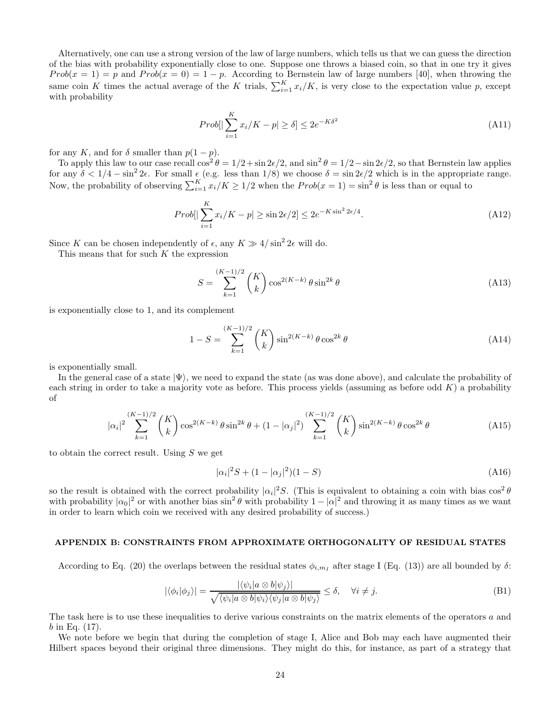Alternatively, one can use a strong version of the law of large numbers, which tells us that we can guess the direction of the bias with probability exponentially close to one. Suppose one throws a biased coin, so that in one try it gives  $Prob(x = 1) = p$  and  $Prob(x = 0) = 1 - p$ . According to Bernstein law of large numbers [40], when throwing the same coin K times the actual average of the K trials,  $\sum_{i=1}^{K} x_i/K$ , is very close to the expectation value p, except with probability

$$
Prob[|\sum_{i=1}^{K} x_i/K - p| \ge \delta] \le 2e^{-K\delta^2}
$$
\n(A11)

for any K, and for  $\delta$  smaller than  $p(1-p)$ .

To apply this law to our case recall  $\cos^2 \theta = 1/2 + \sin 2\epsilon/2$ , and  $\sin^2 \theta = 1/2 - \sin 2\epsilon/2$ , so that Bernstein law applies for any  $\delta < 1/4 - \sin^2 2\epsilon$ . For small  $\epsilon$  (e.g. less than  $1/8$ ) we choose  $\delta = \sin 2\epsilon/2$  which is in the appropriate range. Now, the probability of observing  $\sum_{i=1}^{K} x_i/K \ge 1/2$  when the  $Prob(x=1) = \sin^2 \theta$  is less than or equal to

$$
Prob[|\sum_{i=1}^{K} x_i/K - p| \ge \sin 2\epsilon/2] \le 2e^{-K\sin^2 2\epsilon/4}.
$$
 (A12)

Since K can be chosen independently of  $\epsilon$ , any  $K \gg 4/\sin^2 2\epsilon$  will do.

This means that for such  $K$  the expression

$$
S = \sum_{k=1}^{(K-1)/2} {K \choose k} \cos^{2(K-k)} \theta \sin^{2k} \theta
$$
 (A13)

is exponentially close to 1, and its complement

$$
1 - S = \sum_{k=1}^{(K-1)/2} {K \choose k} \sin^{2(K-k)} \theta \cos^{2k} \theta
$$
 (A14)

is exponentially small.

In the general case of a state  $|\Psi\rangle$ , we need to expand the state (as was done above), and calculate the probability of each string in order to take a majority vote as before. This process yields (assuming as before odd  $K$ ) a probability of

$$
|\alpha_i|^2 \sum_{k=1}^{(K-1)/2} {K \choose k} \cos^{2(K-k)} \theta \sin^{2k} \theta + (1 - |\alpha_j|^2) \sum_{k=1}^{(K-1)/2} {K \choose k} \sin^{2(K-k)} \theta \cos^{2k} \theta \tag{A15}
$$

to obtain the correct result. Using S we get

$$
|\alpha_i|^2 S + (1 - |\alpha_j|^2)(1 - S) \tag{A16}
$$

so the result is obtained with the correct probability  $|\alpha_i|^2 S$ . (This is equivalent to obtaining a coin with bias  $\cos^2 \theta$ with probability  $|\alpha_0|^2$  or with another bias  $\sin^2 \theta$  with probability  $1 - |\alpha|^2$  and throwing it as many times as we want in order to learn which coin we received with any desired probability of success.)

### APPENDIX B: CONSTRAINTS FROM APPROXIMATE ORTHOGONALITY OF RESIDUAL STATES

According to Eq. (20) the overlaps between the residual states  $\phi_{i,m_I}$  after stage I (Eq. (13)) are all bounded by  $\delta$ :

$$
|\langle \phi_i | \phi_j \rangle| = \frac{|\langle \psi_i | a \otimes b | \psi_j \rangle|}{\sqrt{\langle \psi_i | a \otimes b | \psi_i \rangle \langle \psi_j | a \otimes b | \psi_j \rangle}} \le \delta, \quad \forall i \neq j.
$$
 (B1)

The task here is to use these inequalities to derive various constraints on the matrix elements of the operators a and  $b$  in Eq.  $(17)$ .

We note before we begin that during the completion of stage I, Alice and Bob may each have augmented their Hilbert spaces beyond their original three dimensions. They might do this, for instance, as part of a strategy that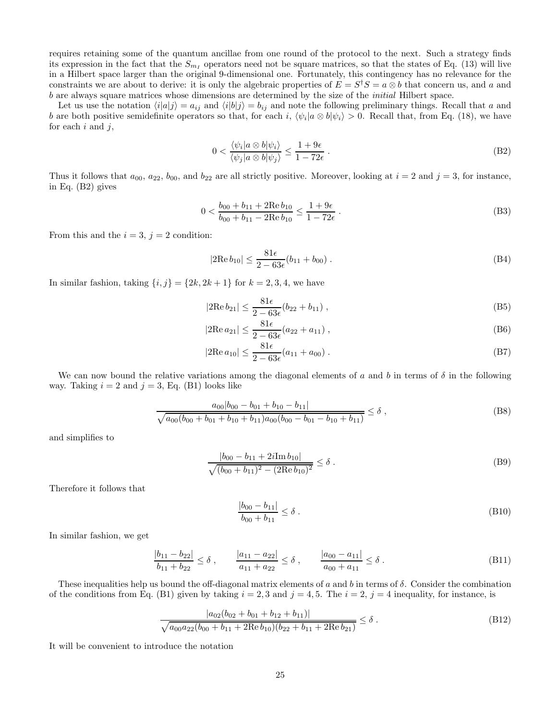requires retaining some of the quantum ancillae from one round of the protocol to the next. Such a strategy finds its expression in the fact that the  $S_{m}$  operators need not be square matrices, so that the states of Eq. (13) will live in a Hilbert space larger than the original 9-dimensional one. Fortunately, this contingency has no relevance for the constraints we are about to derive: it is only the algebraic properties of  $E = S^{\dagger}S = a \otimes b$  that concern us, and a and b are always square matrices whose dimensions are determined by the size of the initial Hilbert space.

Let us use the notation  $\langle i|a|j\rangle = a_{ij}$  and  $\langle i|b|j\rangle = b_{ij}$  and note the following preliminary things. Recall that a and b are both positive semidefinite operators so that, for each i,  $\langle \psi_i | a \otimes b | \psi_i \rangle > 0$ . Recall that, from Eq. (18), we have for each  $i$  and  $j$ ,

$$
0 < \frac{\langle \psi_i | a \otimes b | \psi_i \rangle}{\langle \psi_j | a \otimes b | \psi_j \rangle} \le \frac{1 + 9\epsilon}{1 - 72\epsilon} \,. \tag{B2}
$$

Thus it follows that  $a_{00}$ ,  $a_{22}$ ,  $b_{00}$ , and  $b_{22}$  are all strictly positive. Moreover, looking at  $i = 2$  and  $j = 3$ , for instance, in Eq. (B2) gives

$$
0 < \frac{b_{00} + b_{11} + 2\operatorname{Re} b_{10}}{b_{00} + b_{11} - 2\operatorname{Re} b_{10}} \le \frac{1 + 9\epsilon}{1 - 72\epsilon} \,. \tag{B3}
$$

From this and the  $i = 3$ ,  $j = 2$  condition:

$$
|2\operatorname{Re} b_{10}| \le \frac{81\epsilon}{2 - 63\epsilon}(b_{11} + b_{00}). \tag{B4}
$$

In similar fashion, taking  $\{i, j\} = \{2k, 2k + 1\}$  for  $k = 2, 3, 4$ , we have

$$
|2\operatorname{Re} b_{21}| \le \frac{81\epsilon}{2 - 63\epsilon}(b_{22} + b_{11}), \tag{B5}
$$

$$
|2\operatorname{Re} a_{21}| \le \frac{81\epsilon}{2 - 63\epsilon} (a_{22} + a_{11}), \tag{B6}
$$

$$
|2\operatorname{Re} a_{10}| \le \frac{81\epsilon}{2 - 63\epsilon}(a_{11} + a_{00}).
$$
 (B7)

We can now bound the relative variations among the diagonal elements of a and b in terms of  $\delta$  in the following way. Taking  $i = 2$  and  $j = 3$ , Eq. (B1) looks like

$$
\frac{a_{00}|b_{00} - b_{01} + b_{10} - b_{11}|}{\sqrt{a_{00}(b_{00} + b_{01} + b_{10} + b_{11})a_{00}(b_{00} - b_{01} - b_{10} + b_{11})}} \le \delta,
$$
\n(B8)

and simplifies to

$$
\frac{|b_{00} - b_{11} + 2i \text{Im } b_{10}|}{\sqrt{(b_{00} + b_{11})^2 - (2\text{Re } b_{10})^2}} \le \delta.
$$
\n(B9)

Therefore it follows that

$$
\frac{|b_{00} - b_{11}|}{b_{00} + b_{11}} \le \delta \tag{B10}
$$

In similar fashion, we get

$$
\frac{|b_{11} - b_{22}|}{b_{11} + b_{22}} \le \delta \,, \qquad \frac{|a_{11} - a_{22}|}{a_{11} + a_{22}} \le \delta \,, \qquad \frac{|a_{00} - a_{11}|}{a_{00} + a_{11}} \le \delta \,. \tag{B11}
$$

These inequalities help us bound the off-diagonal matrix elements of a and b in terms of  $\delta$ . Consider the combination of the conditions from Eq. (B1) given by taking  $i = 2, 3$  and  $j = 4, 5$ . The  $i = 2, j = 4$  inequality, for instance, is

$$
\frac{|a_{02}(b_{02} + b_{01} + b_{12} + b_{11})|}{\sqrt{a_{00}a_{22}(b_{00} + b_{11} + 2\text{Re }b_{10})(b_{22} + b_{11} + 2\text{Re }b_{21})}} \le \delta.
$$
\n(B12)

It will be convenient to introduce the notation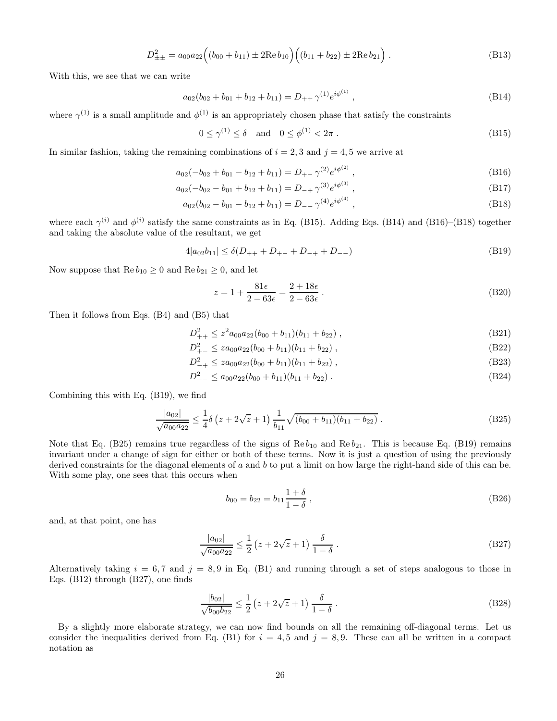$$
D_{\pm\pm}^2 = a_{00}a_{22} \Big( (b_{00} + b_{11}) \pm 2\text{Re } b_{10} \Big) \Big( (b_{11} + b_{22}) \pm 2\text{Re } b_{21} \Big) . \tag{B13}
$$

With this, we see that we can write

$$
a_{02}(b_{02} + b_{01} + b_{12} + b_{11}) = D_{++} \gamma^{(1)} e^{i\phi^{(1)}}, \qquad (B14)
$$

where  $\gamma^{(1)}$  is a small amplitude and  $\phi^{(1)}$  is an appropriately chosen phase that satisfy the constraints

$$
0 \le \gamma^{(1)} \le \delta \quad \text{and} \quad 0 \le \phi^{(1)} < 2\pi \tag{B15}
$$

In similar fashion, taking the remaining combinations of  $i = 2, 3$  and  $j = 4, 5$  we arrive at

$$
a_{02}(-b_{02} + b_{01} - b_{12} + b_{11}) = D_{+-} \gamma^{(2)} e^{i\phi^{(2)}}, \qquad (B16)
$$

$$
a_{02}(-b_{02} - b_{01} + b_{12} + b_{11}) = D_{-+} \gamma^{(3)} e^{i\phi^{(3)}},
$$
\n(B17)

$$
a_{02}(b_{02} - b_{01} - b_{12} + b_{11}) = D_{--} \gamma^{(4)} e^{i\phi^{(4)}}, \qquad (B18)
$$

where each  $\gamma^{(i)}$  and  $\phi^{(i)}$  satisfy the same constraints as in Eq. (B15). Adding Eqs. (B14) and (B16)–(B18) together and taking the absolute value of the resultant, we get

$$
4|a_{02}b_{11}| \le \delta(D_{++} + D_{+-} + D_{-+} + D_{--})
$$
\n(B19)

Now suppose that  $\text{Re } b_{10} \geq 0$  and  $\text{Re } b_{21} \geq 0$ , and let

$$
z = 1 + \frac{81\epsilon}{2 - 63\epsilon} = \frac{2 + 18\epsilon}{2 - 63\epsilon} \,. \tag{B20}
$$

Then it follows from Eqs. (B4) and (B5) that

$$
D_{++}^2 \le z^2 a_{00} a_{22} (b_{00} + b_{11}) (b_{11} + b_{22}), \qquad (B21)
$$

$$
D_{+-}^2 \leq za_{00}a_{22}(b_{00} + b_{11})(b_{11} + b_{22}), \qquad (B22)
$$

$$
D_{-+}^2 \leq za_{00}a_{22}(b_{00} + b_{11})(b_{11} + b_{22}), \qquad (B23)
$$

$$
D_{--}^2 \le a_{00} a_{22} (b_{00} + b_{11}) (b_{11} + b_{22}) \,. \tag{B24}
$$

Combining this with Eq. (B19), we find

$$
\frac{|a_{02}|}{\sqrt{a_{00}a_{22}}} \le \frac{1}{4}\delta\left(z + 2\sqrt{z} + 1\right)\frac{1}{b_{11}}\sqrt{(b_{00} + b_{11})(b_{11} + b_{22})}.
$$
\n(B25)

Note that Eq. (B25) remains true regardless of the signs of  $\text{Re }b_{10}$  and  $\text{Re }b_{21}$ . This is because Eq. (B19) remains invariant under a change of sign for either or both of these terms. Now it is just a question of using the previously derived constraints for the diagonal elements of  $a$  and  $b$  to put a limit on how large the right-hand side of this can be. With some play, one sees that this occurs when

$$
b_{00} = b_{22} = b_{11} \frac{1+\delta}{1-\delta} \,, \tag{B26}
$$

and, at that point, one has

$$
\frac{|a_{02}|}{\sqrt{a_{00}a_{22}}} \le \frac{1}{2} (z + 2\sqrt{z} + 1) \frac{\delta}{1 - \delta}.
$$
\n(B27)

Alternatively taking  $i = 6, 7$  and  $j = 8, 9$  in Eq. (B1) and running through a set of steps analogous to those in Eqs. (B12) through (B27), one finds

$$
\frac{|b_{02}|}{\sqrt{b_{00}b_{22}}} \le \frac{1}{2} (z + 2\sqrt{z} + 1) \frac{\delta}{1 - \delta}.
$$
 (B28)

By a slightly more elaborate strategy, we can now find bounds on all the remaining off-diagonal terms. Let us consider the inequalities derived from Eq. (B1) for  $i = 4, 5$  and  $j = 8, 9$ . These can all be written in a compact notation as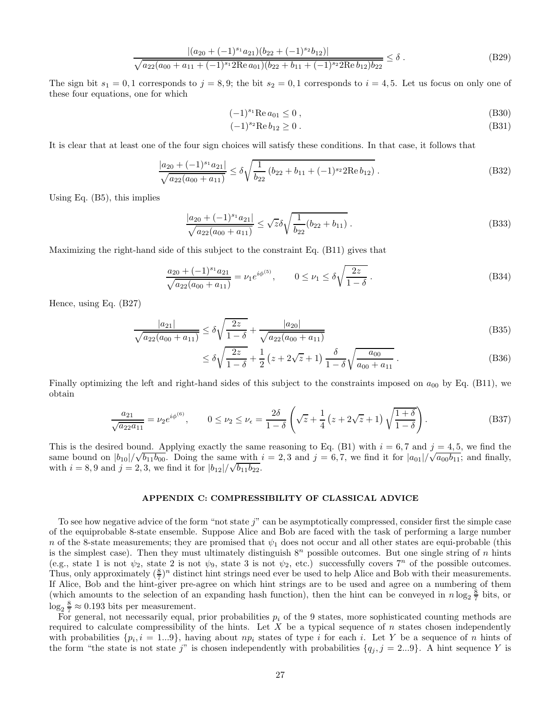$$
\frac{|(a_{20} + (-1)^{s_1} a_{21})(b_{22} + (-1)^{s_2} b_{12})|}{a_{22}(a_{00} + a_{11} + (-1)^{s_1} 2\text{Re}\, a_{01})(b_{22} + b_{11} + (-1)^{s_2} 2\text{Re}\, b_{12})b_{22}} \le \delta.
$$
\n(B29)

The sign bit  $s_1 = 0, 1$  corresponds to  $j = 8, 9$ ; the bit  $s_2 = 0, 1$  corresponds to  $i = 4, 5$ . Let us focus on only one of these four equations, one for which

$$
(-1)^{s_1} \text{Re } a_{01} \le 0 , \qquad (B30)
$$

$$
(-1)^{s_2} \text{Re } b_{12} \ge 0 \tag{B31}
$$

It is clear that at least one of the four sign choices will satisfy these conditions. In that case, it follows that

$$
\frac{|a_{20} + (-1)^{s_1} a_{21}|}{\sqrt{a_{22}(a_{00} + a_{11})}} \le \delta \sqrt{\frac{1}{b_{22}} (b_{22} + b_{11} + (-1)^{s_2} 2 \text{Re } b_{12})}.
$$
\n(B32)

Using Eq. (B5), this implies

 $\sqrt{ }$ 

$$
\frac{|a_{20} + (-1)^{s_1} a_{21}|}{\sqrt{a_{22}(a_{00} + a_{11})}} \le \sqrt{z} \delta \sqrt{\frac{1}{b_{22}}(b_{22} + b_{11})} .
$$
\n(B33)

Maximizing the right-hand side of this subject to the constraint Eq. (B11) gives that

$$
\frac{a_{20} + (-1)^{s_1} a_{21}}{\sqrt{a_{22}(a_{00} + a_{11})}} = \nu_1 e^{i\phi^{(5)}}, \qquad 0 \le \nu_1 \le \delta \sqrt{\frac{2z}{1 - \delta}}.
$$
\n(B34)

Hence, using Eq. (B27)

$$
\frac{|a_{21}|}{\sqrt{a_{22}(a_{00} + a_{11})}} \le \delta \sqrt{\frac{2z}{1 - \delta}} + \frac{|a_{20}|}{\sqrt{a_{22}(a_{00} + a_{11})}}
$$
(B35)

$$
\leq \delta \sqrt{\frac{2z}{1-\delta}} + \frac{1}{2} \left( z + 2\sqrt{z} + 1 \right) \frac{\delta}{1-\delta} \sqrt{\frac{a_{00}}{a_{00} + a_{11}}} \,. \tag{B36}
$$

Finally optimizing the left and right-hand sides of this subject to the constraints imposed on  $a_{00}$  by Eq. (B11), we obtain

$$
\frac{a_{21}}{\sqrt{a_{22}a_{11}}} = \nu_2 e^{i\phi^{(6)}}, \qquad 0 \le \nu_2 \le \nu_\epsilon = \frac{2\delta}{1-\delta} \left( \sqrt{z} + \frac{1}{4} \left( z + 2\sqrt{z} + 1 \right) \sqrt{\frac{1+\delta}{1-\delta}} \right). \tag{B37}
$$

This is the desired bound. Applying exactly the same reasoning to Eq. (B1) with  $i = 6, 7$  and  $j = 4, 5$ , we find the same bound on  $|b_{10}|/\sqrt{b_{11}b_{00}}$ . Doing the same with  $i = 2, 3$  and  $j = 6, 7$ , we find it for  $|a_{01}|/\sqrt{a_{00}b_{11}}$ ; and finally, with  $i = 8, 9$  and  $j = 2, 3$ , we find it for  $|b_{12}| / \sqrt{b_{11}b_{22}}$ .

### APPENDIX C: COMPRESSIBILITY OF CLASSICAL ADVICE

To see how negative advice of the form "not state  $j$ " can be asymptotically compressed, consider first the simple case of the equiprobable 8-state ensemble. Suppose Alice and Bob are faced with the task of performing a large number n of the 8-state measurements; they are promised that  $\psi_1$  does not occur and all other states are equi-probable (this is the simplest case). Then they must ultimately distinguish  $8<sup>n</sup>$  possible outcomes. But one single string of n hints (e.g., state 1 is not  $\psi_2$ , state 2 is not  $\psi_9$ , state 3 is not  $\psi_2$ , etc.) successfully covers  $7^n$  of the possible outcomes. Thus, only approximately  $(\frac{8}{7})^n$  distinct hint strings need ever be used to help Alice and Bob with their measurements. If Alice, Bob and the hint-giver pre-agree on which hint strings are to be used and agree on a numbering of them (which amounts to the selection of an expanding hash function), then the hint can be conveyed in  $n \log_2 \frac{8}{7}$  bits, or  $\log_2 \frac{8}{7} \approx 0.193$  bits per measurement.

For general, not necessarily equal, prior probabilities  $p_i$  of the 9 states, more sophisticated counting methods are required to calculate compressibility of the hints. Let  $X$  be a typical sequence of  $n$  states chosen independently with probabilities  $\{p_i, i = 1...9\}$ , having about  $np_i$  states of type i for each i. Let Y be a sequence of n hints of the form "the state is not state j" is chosen independently with probabilities  $\{q_j, j = 2...9\}$ . A hint sequence Y is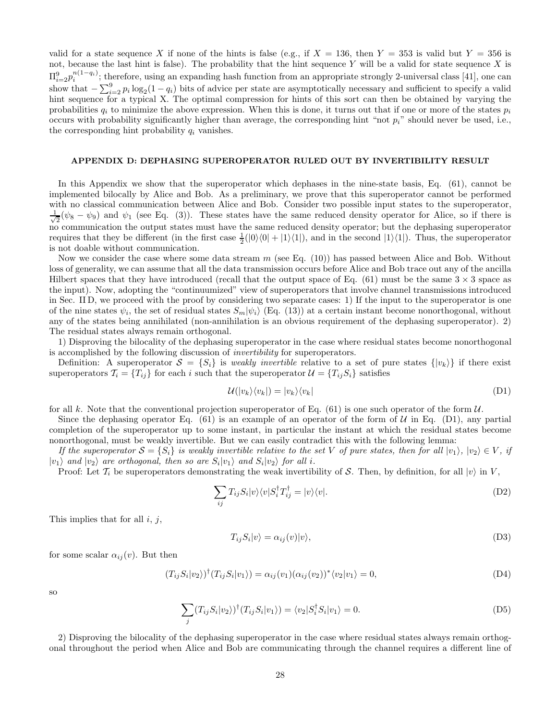valid for a state sequence X if none of the hints is false (e.g., if  $X = 136$ , then  $Y = 353$  is valid but  $Y = 356$  is not, because the last hint is false). The probability that the hint sequence Y will be a valid for state sequence X is  $\Pi_{i=2}^{9} p_i^{n(1-q_i)}$ ; therefore, using an expanding hash function from an appropriate strongly 2-universal class [41], one can show that  $-\sum_{i=2}^{9} p_i \log_2(1-q_i)$  bits of advice per state are asymptotically necessary and sufficient to specify a valid hint sequence for a typical X. The optimal compression for hints of this sort can then be obtained by varying the probabilities  $q_i$  to minimize the above expression. When this is done, it turns out that if one or more of the states  $p_i$ occurs with probability significantly higher than average, the corresponding hint "not  $p_i$ " should never be used, i.e., the corresponding hint probability  $q_i$  vanishes.

### APPENDIX D: DEPHASING SUPEROPERATOR RULED OUT BY INVERTIBILITY RESULT

In this Appendix we show that the superoperator which dephases in the nine-state basis, Eq. (61), cannot be implemented bilocally by Alice and Bob. As a preliminary, we prove that this superoperator cannot be performed with no classical communication between Alice and Bob. Consider two possible input states to the superoperator, √ 1  $\frac{1}{2}(\psi_8 - \psi_9)$  and  $\psi_1$  (see Eq. (3)). These states have the same reduced density operator for Alice, so if there is no communication the output states must have the same reduced density operator; but the dephasing superoperator requires that they be different (in the first case  $\frac{1}{2}(|0\rangle\langle0| + |1\rangle\langle1|)$ , and in the second  $|1\rangle\langle1|$ ). Thus, the superoperator is not doable without communication.

Now we consider the case where some data stream  $m$  (see Eq. (10)) has passed between Alice and Bob. Without loss of generality, we can assume that all the data transmission occurs before Alice and Bob trace out any of the ancilla Hilbert spaces that they have introduced (recall that the output space of Eq. (61) must be the same  $3 \times 3$  space as the input). Now, adopting the "continuumized" view of superoperators that involve channel transmissions introduced in Sec. II D, we proceed with the proof by considering two separate cases: 1) If the input to the superoperator is one of the nine states  $\psi_i$ , the set of residual states  $S_m|\psi_i\rangle$  (Eq. (13)) at a certain instant become nonorthogonal, without any of the states being annihilated (non-annihilation is an obvious requirement of the dephasing superoperator). 2) The residual states always remain orthogonal.

1) Disproving the bilocality of the dephasing superoperator in the case where residual states become nonorthogonal is accomplished by the following discussion of invertibility for superoperators.

Definition: A superoperator  $S = \{S_i\}$  is weakly invertible relative to a set of pure states  $\{|v_k\rangle\}$  if there exist superoperators  $\mathcal{T}_i = \{T_{ij}\}\$ for each i such that the superoperator  $\mathcal{U} = \{T_{ij}S_i\}$  satisfies

$$
\mathcal{U}(|v_k\rangle\langle v_k|) = |v_k\rangle\langle v_k| \tag{D1}
$$

for all k. Note that the conventional projection superoperator of Eq. (61) is one such operator of the form  $\mathcal{U}$ .

Since the dephasing operator Eq. (61) is an example of an operator of the form of  $U$  in Eq. (D1), any partial completion of the superoperator up to some instant, in particular the instant at which the residual states become nonorthogonal, must be weakly invertible. But we can easily contradict this with the following lemma:

If the superoperator  $S = \{S_i\}$  is weakly invertible relative to the set V of pure states, then for all  $|v_1\rangle, |v_2\rangle \in V$ , if  $|v_1\rangle$  and  $|v_2\rangle$  are orthogonal, then so are  $S_i|v_1\rangle$  and  $S_i|v_2\rangle$  for all i.

Proof: Let  $\mathcal{T}_i$  be superoperators demonstrating the weak invertibility of S. Then, by definition, for all  $|v\rangle$  in V,

$$
\sum_{ij} T_{ij} S_i |v\rangle\langle v| S_i^\dagger T_{ij}^\dagger = |v\rangle\langle v|.
$$
 (D2)

This implies that for all  $i, j$ ,

$$
T_{ij}S_i|v\rangle = \alpha_{ij}(v)|v\rangle,\tag{D3}
$$

for some scalar  $\alpha_{ij}(v)$ . But then

$$
(T_{ij}S_i|v_2)\rangle^{\dagger}(T_{ij}S_i|v_1\rangle) = \alpha_{ij}(v_1)(\alpha_{ij}(v_2))^*\langle v_2|v_1\rangle = 0,
$$
\n(D4)

so

$$
\sum_{j} (T_{ij} S_i |v_2\rangle)^{\dagger} (T_{ij} S_i |v_1\rangle) = \langle v_2 | S_i^{\dagger} S_i |v_1\rangle = 0.
$$
 (D5)

2) Disproving the bilocality of the dephasing superoperator in the case where residual states always remain orthogonal throughout the period when Alice and Bob are communicating through the channel requires a different line of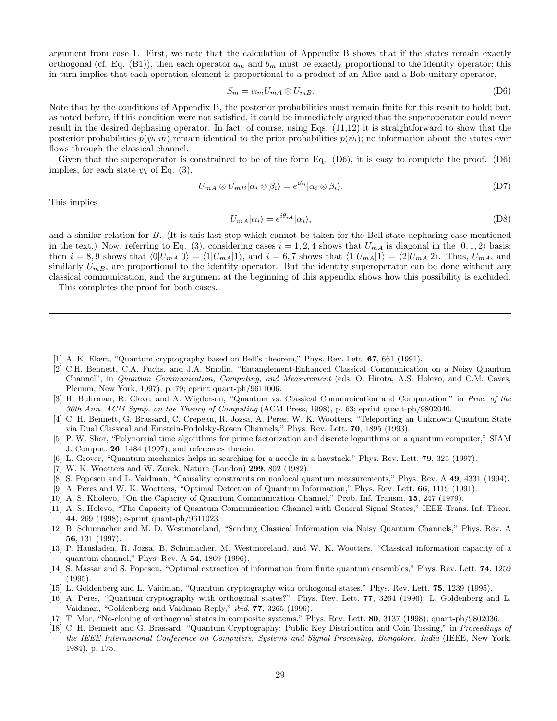argument from case 1. First, we note that the calculation of Appendix B shows that if the states remain exactly orthogonal (cf. Eq. (B1)), then each operator  $a_m$  and  $b_m$  must be exactly proportional to the identity operator; this in turn implies that each operation element is proportional to a product of an Alice and a Bob unitary operator,

$$
S_m = \alpha_m U_{mA} \otimes U_{m}.
$$
 (D6)

Note that by the conditions of Appendix B, the posterior probabilities must remain finite for this result to hold; but, as noted before, if this condition were not satisfied, it could be immediately argued that the superoperator could never result in the desired dephasing operator. In fact, of course, using Eqs. (11,12) it is straightforward to show that the posterior probabilities  $p(\psi_i|m)$  remain identical to the prior probabilities  $p(\psi_i)$ ; no information about the states ever flows through the classical channel.

Given that the superoperator is constrained to be of the form Eq. (D6), it is easy to complete the proof. (D6) implies, for each state  $\psi_i$  of Eq. (3),

$$
U_{mA} \otimes U_{m} \otimes \langle a_i \otimes \beta_i \rangle = e^{i\theta_i} | \alpha_i \otimes \beta_i \rangle. \tag{D7}
$$

This implies

$$
U_{mA}|\alpha_i\rangle = e^{i\theta_{iA}}|\alpha_i\rangle,\tag{D8}
$$

and a similar relation for B. (It is this last step which cannot be taken for the Bell-state dephasing case mentioned in the text.) Now, referring to Eq. (3), considering cases  $i = 1, 2, 4$  shows that  $U_{mA}$  is diagonal in the  $|0, 1, 2\rangle$  basis; then  $i = 8, 9$  shows that  $\langle 0|U_{mA}|0\rangle = \langle 1|U_{mA}|1\rangle$ , and  $i = 6, 7$  shows that  $\langle 1|U_{mA}|1\rangle = \langle 2|U_{mA}|2\rangle$ . Thus,  $U_{mA}$ , and similarly  $U_{mB}$ , are proportional to the identity operator. But the identity superoperator can be done without any classical communication, and the argument at the beginning of this appendix shows how this possibility is excluded.

This completes the proof for both cases.

- [1] A. K. Ekert, "Quantum cryptography based on Bell's theorem," Phys. Rev. Lett. 67, 661 (1991).
- [2] C.H. Bennett, C.A. Fuchs, and J.A. Smolin, "Entanglement-Enhanced Classical Communication on a Noisy Quantum Channel", in Quantum Communication, Computing, and Measurement (eds. O. Hirota, A.S. Holevo, and C.M. Caves, Plenum, New York, 1997), p. 79; eprint quant-ph/9611006.
- [3] H. Buhrman, R. Cleve, and A. Wigderson, "Quantum vs. Classical Communication and Computation," in Proc. of the 30th Ann. ACM Symp. on the Theory of Computing (ACM Press, 1998), p. 63; eprint quant-ph/9802040.
- [4] C. H. Bennett, G. Brassard, C. Crepeau, R. Jozsa, A. Peres, W. K. Wootters, "Teleporting an Unknown Quantum State via Dual Classical and Einstein-Podolsky-Rosen Channels," Phys. Rev. Lett. 70, 1895 (1993).
- [5] P. W. Shor, "Polynomial time algorithms for prime factorization and discrete logarithms on a quantum computer," SIAM J. Comput. 26, 1484 (1997), and references therein.
- [6] L. Grover, "Quantum mechanics helps in searching for a needle in a haystack," Phys. Rev. Lett. 79, 325 (1997).
- [7] W. K. Wootters and W. Zurek, Nature (London) 299, 802 (1982).
- [8] S. Popescu and L. Vaidman, "Causality constraints on nonlocal quantum measurements," Phys. Rev. A 49, 4331 (1994).
- [9] A. Peres and W. K. Wootters, "Optimal Detection of Quantum Information," Phys. Rev. Lett. 66, 1119 (1991).
- [10] A. S. Kholevo, "On the Capacity of Quantum Communication Channel," Prob. Inf. Transm. 15, 247 (1979).
- [11] A. S. Holevo, "The Capacity of Quantum Communication Channel with General Signal States," IEEE Trans. Inf. Theor. 44, 269 (1998); e-print quant-ph/9611023.
- [12] B. Schumacher and M. D. Westmoreland, "Sending Classical Information via Noisy Quantum Channels," Phys. Rev. A 56, 131 (1997).
- [13] P. Hausladen, R. Jozsa, B. Schumacher, M. Westmoreland, and W. K. Wootters, "Classical information capacity of a quantum channel," Phys. Rev. A 54, 1869 (1996).
- [14] S. Massar and S. Popescu, "Optimal extraction of information from finite quantum ensembles," Phys. Rev. Lett. 74, 1259 (1995).
- [15] L. Goldenberg and L. Vaidman, "Quantum cryptography with orthogonal states," Phys. Rev. Lett. 75, 1239 (1995).
- [16] A. Peres, "Quantum cryptography with orthogonal states?" Phys. Rev. Lett. 77, 3264 (1996); L. Goldenberg and L. Vaidman, "Goldenberg and Vaidman Reply," ibid. 77, 3265 (1996).
- [17] T. Mor, "No-cloning of orthogonal states in composite systems," Phys. Rev. Lett. 80, 3137 (1998); quant-ph/9802036.
- [18] C. H. Bennett and G. Brassard, "Quantum Cryptography: Public Key Distribution and Coin Tossing," in Proceedings of the IEEE International Conference on Computers, Systems and Signal Processing, Bangalore, India (IEEE, New York, 1984), p. 175.